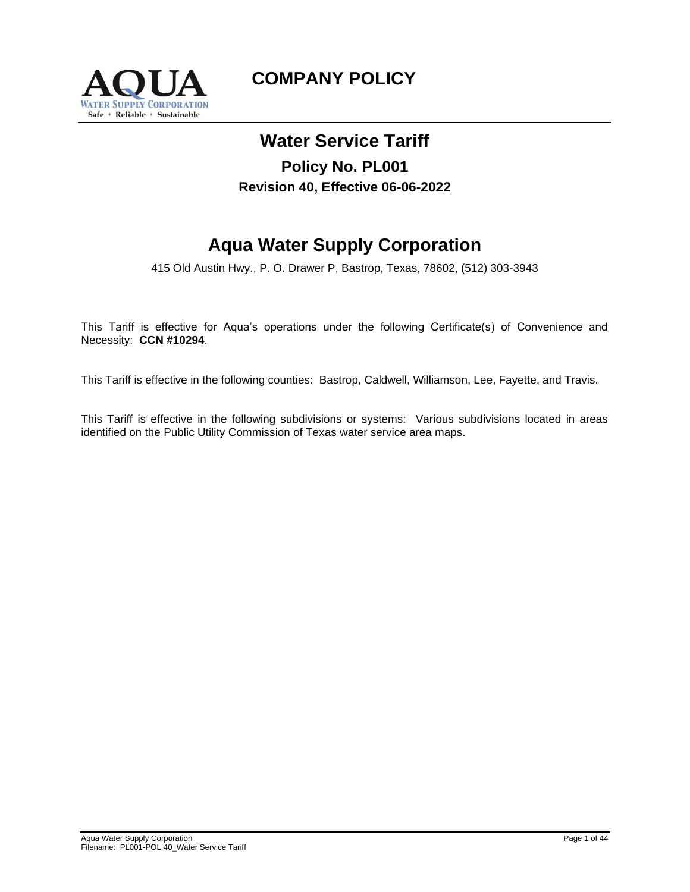

# **COMPANY POLICY**

# **Water Service Tariff**

# **Policy No. PL001 Revision 40, Effective 06-06-2022**

# **Aqua Water Supply Corporation**

415 Old Austin Hwy., P. O. Drawer P, Bastrop, Texas, 78602, (512) 303-3943

This Tariff is effective for Aqua's operations under the following Certificate(s) of Convenience and Necessity: **CCN #10294**.

This Tariff is effective in the following counties: Bastrop, Caldwell, Williamson, Lee, Fayette, and Travis.

This Tariff is effective in the following subdivisions or systems: Various subdivisions located in areas identified on the Public Utility Commission of Texas water service area maps.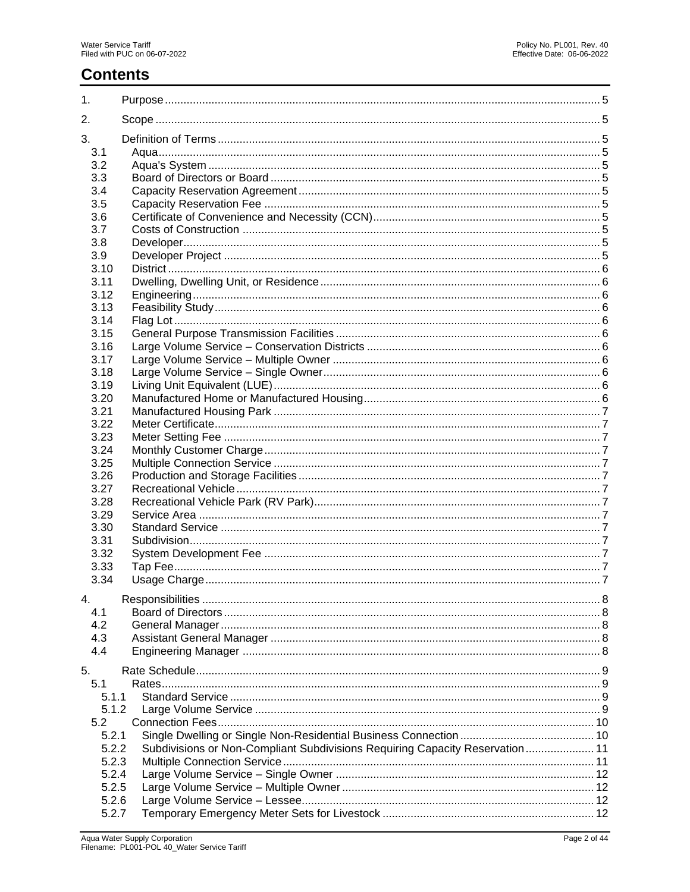# **Contents**

| 1.    |                                                                              |  |
|-------|------------------------------------------------------------------------------|--|
| 2.    |                                                                              |  |
| 3.    |                                                                              |  |
| 3.1   |                                                                              |  |
| 3.2   |                                                                              |  |
| 3.3   |                                                                              |  |
| 3.4   |                                                                              |  |
| 3.5   |                                                                              |  |
| 3.6   |                                                                              |  |
| 3.7   |                                                                              |  |
| 3.8   |                                                                              |  |
| 3.9   |                                                                              |  |
| 3.10  |                                                                              |  |
| 3.11  |                                                                              |  |
| 3.12  |                                                                              |  |
| 3.13  |                                                                              |  |
| 3.14  |                                                                              |  |
| 3.15  |                                                                              |  |
| 3.16  |                                                                              |  |
| 3.17  |                                                                              |  |
| 3.18  |                                                                              |  |
| 3.19  |                                                                              |  |
| 3.20  |                                                                              |  |
| 3.21  |                                                                              |  |
| 3.22  |                                                                              |  |
| 3.23  |                                                                              |  |
| 3.24  |                                                                              |  |
| 3.25  |                                                                              |  |
| 3.26  |                                                                              |  |
| 3.27  |                                                                              |  |
| 3.28  |                                                                              |  |
| 3.29  |                                                                              |  |
| 3.30  |                                                                              |  |
| 3.31  |                                                                              |  |
| 3.32  |                                                                              |  |
| 3.33  |                                                                              |  |
| 3.34  |                                                                              |  |
| 4.    |                                                                              |  |
| 4.1   |                                                                              |  |
| 4.2   |                                                                              |  |
| 4.3   |                                                                              |  |
| 4.4   |                                                                              |  |
| 5.    |                                                                              |  |
| 5.1   |                                                                              |  |
| 5.1.1 |                                                                              |  |
| 5.1.2 |                                                                              |  |
| 5.2   |                                                                              |  |
| 5.2.1 |                                                                              |  |
| 5.2.2 | Subdivisions or Non-Compliant Subdivisions Requiring Capacity Reservation 11 |  |
| 5.2.3 |                                                                              |  |
| 5.2.4 |                                                                              |  |
| 5.2.5 |                                                                              |  |
| 5.2.6 |                                                                              |  |
| 5.2.7 |                                                                              |  |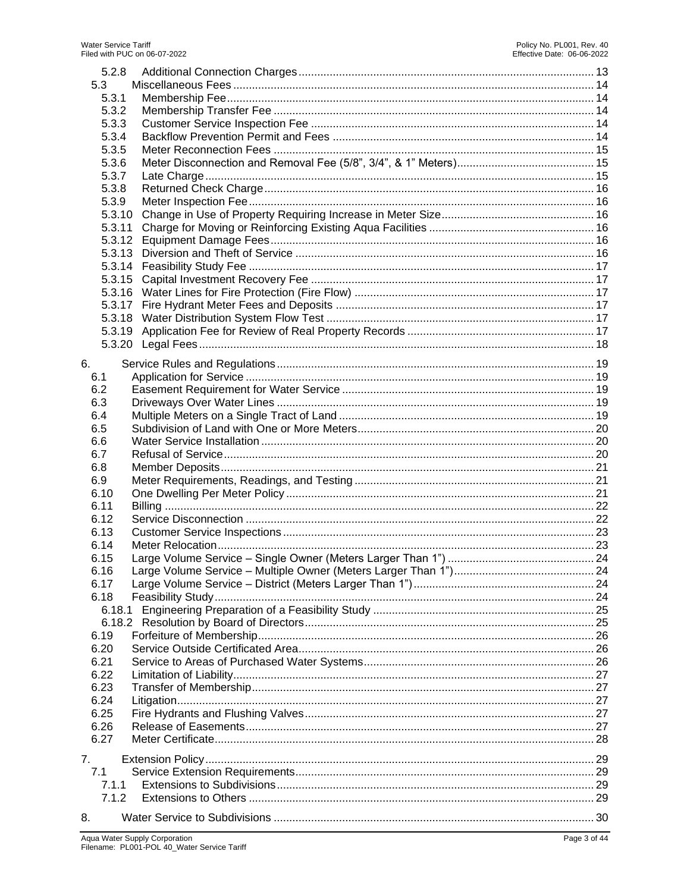| 5.2.8<br>5.3<br>5.3.1<br>5.3.2<br>5.3.3<br>5.3.4<br>5.3.5<br>5.3.6<br>5.3.7<br>5.3.8<br>5.3.9<br>5.3.10<br>5.3.11<br>5.3.12<br>5.3.13 |  |
|---------------------------------------------------------------------------------------------------------------------------------------|--|
|                                                                                                                                       |  |
|                                                                                                                                       |  |
|                                                                                                                                       |  |
| 6.                                                                                                                                    |  |
| 6.1                                                                                                                                   |  |
| 6.2                                                                                                                                   |  |
| 6.3<br>6.4                                                                                                                            |  |
| 6.5                                                                                                                                   |  |
| 6.6                                                                                                                                   |  |
| 6.7                                                                                                                                   |  |
| 6.8                                                                                                                                   |  |
| 6.9                                                                                                                                   |  |
| 6.10                                                                                                                                  |  |
| 6.11                                                                                                                                  |  |
| 6.12                                                                                                                                  |  |
| 6.13                                                                                                                                  |  |
| 6.14                                                                                                                                  |  |
| 6.15                                                                                                                                  |  |
| 6.16                                                                                                                                  |  |
| 6.17                                                                                                                                  |  |
| 6.18                                                                                                                                  |  |
| 6.18.1                                                                                                                                |  |
|                                                                                                                                       |  |
| 6.19<br>6.20                                                                                                                          |  |
| 6.21                                                                                                                                  |  |
| 6.22                                                                                                                                  |  |
| 6.23                                                                                                                                  |  |
| 6.24                                                                                                                                  |  |
| 6.25                                                                                                                                  |  |
| 6.26                                                                                                                                  |  |
| 6.27                                                                                                                                  |  |
|                                                                                                                                       |  |
| 7.                                                                                                                                    |  |
| 7.1<br>7.1.1                                                                                                                          |  |
| 7.1.2                                                                                                                                 |  |
| 8.                                                                                                                                    |  |
|                                                                                                                                       |  |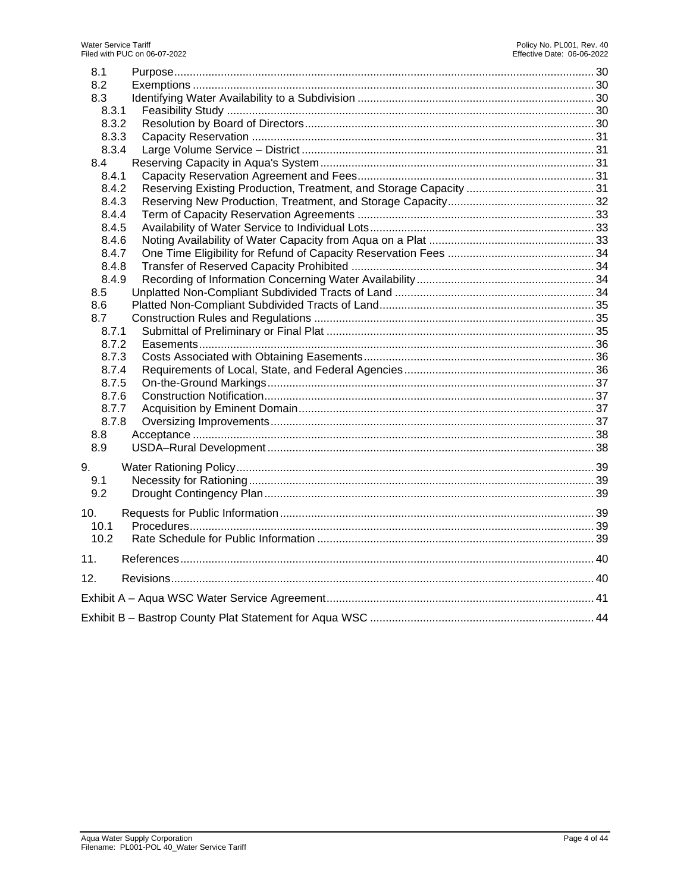| 8.1            |  |
|----------------|--|
| 8.2            |  |
| 8.3            |  |
| 8.3.1          |  |
| 8.3.2          |  |
| 8.3.3          |  |
| 8.3.4          |  |
| 8.4            |  |
| 8.4.1          |  |
| 8.4.2          |  |
| 8.4.3          |  |
| 8.4.4          |  |
| 8.4.5          |  |
| 8.4.6          |  |
| 8.4.7          |  |
| 8.4.8          |  |
| 8.4.9          |  |
| 8.5            |  |
| 8.6            |  |
| 8.7            |  |
| 8.7.1<br>8.7.2 |  |
| 8.7.3          |  |
| 8.7.4          |  |
| 8.7.5          |  |
| 8.7.6          |  |
| 8.7.7          |  |
| 8.7.8          |  |
| 8.8            |  |
| 8.9            |  |
|                |  |
| 9.             |  |
| 9.1            |  |
| 9.2            |  |
| 10.            |  |
| 10.1           |  |
| 10.2           |  |
| 11.            |  |
| 12.            |  |
|                |  |
|                |  |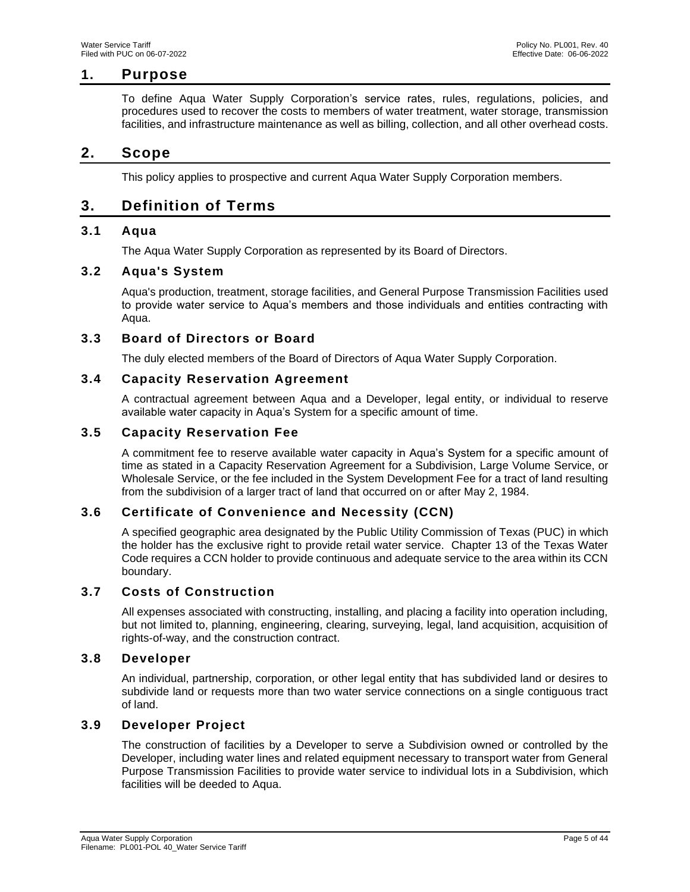# **1. Purpose**

<span id="page-4-0"></span>To define Aqua Water Supply Corporation's service rates, rules, regulations, policies, and procedures used to recover the costs to members of [water treatment,](https://en.wikipedia.org/wiki/Water_treatment) water storage, transmission facilities, and infrastructure maintenance as well as billing, collection, and all other overhead costs.

# <span id="page-4-1"></span>**2. Scope**

This policy applies to prospective and current Aqua Water Supply Corporation members.

# <span id="page-4-2"></span>**3. Definition of Terms**

# <span id="page-4-3"></span>**3.1 Aqua**

The Aqua Water Supply Corporation as represented by its Board of Directors.

# <span id="page-4-4"></span>**3.2 Aqua's System**

Aqua's production, treatment, storage facilities, and General Purpose Transmission Facilities used to provide water service to Aqua's members and those individuals and entities contracting with Aqua.

# <span id="page-4-5"></span>**3.3 Board of Directors or Board**

The duly elected members of the Board of Directors of Aqua Water Supply Corporation.

# <span id="page-4-6"></span>**3.4 Capacity Reservation Agreement**

A contractual agreement between Aqua and a Developer, legal entity, or individual to reserve available water capacity in Aqua's System for a specific amount of time.

# <span id="page-4-7"></span>**3.5 Capacity Reservation Fee**

A commitment fee to reserve available water capacity in Aqua's System for a specific amount of time as stated in a Capacity Reservation Agreement for a Subdivision, Large Volume Service, or Wholesale Service, or the fee included in the System Development Fee for a tract of land resulting from the subdivision of a larger tract of land that occurred on or after May 2, 1984.

# <span id="page-4-8"></span>**3.6 Certificate of Convenience and Necessity (CCN)**

A specified geographic area designated by the Public Utility Commission of Texas (PUC) in which the holder has the exclusive right to provide retail water service. Chapter 13 of the Texas Water Code requires a CCN holder to provide continuous and adequate service to the area within its CCN boundary.

# <span id="page-4-9"></span>**3.7 Costs of Construction**

All expenses associated with constructing, installing, and placing a facility into operation including, but not limited to, planning, engineering, clearing, surveying, legal, land acquisition, acquisition of rights-of-way, and the construction contract.

# <span id="page-4-10"></span>**3.8 Developer**

An individual, partnership, corporation, or other legal entity that has subdivided land or desires to subdivide land or requests more than two water service connections on a single contiguous tract of land.

# <span id="page-4-11"></span>**3.9 Developer Project**

The construction of facilities by a Developer to serve a Subdivision owned or controlled by the Developer, including water lines and related equipment necessary to transport water from General Purpose Transmission Facilities to provide water service to individual lots in a Subdivision, which facilities will be deeded to Aqua.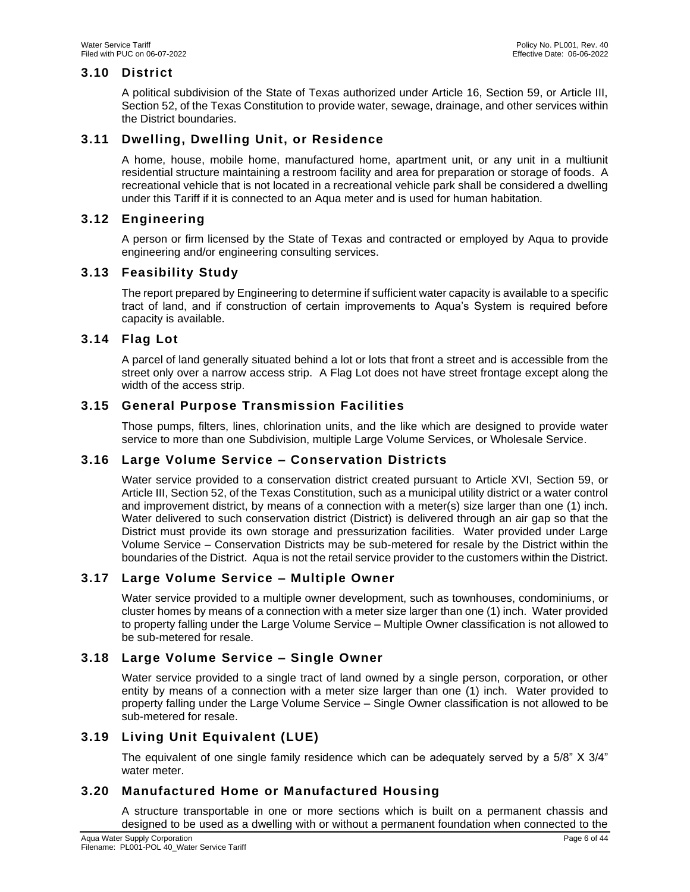# <span id="page-5-0"></span>**3.10 District**

A political subdivision of the State of Texas authorized under Article 16, Section 59, or Article III, Section 52, of the Texas Constitution to provide water, sewage, drainage, and other services within the District boundaries.

# <span id="page-5-1"></span>**3.11 Dwelling, Dwelling Unit, or Residence**

A home, house, mobile home, manufactured home, apartment unit, or any unit in a multiunit residential structure maintaining a restroom facility and area for preparation or storage of foods. A recreational vehicle that is not located in a recreational vehicle park shall be considered a dwelling under this Tariff if it is connected to an Aqua meter and is used for human habitation.

# <span id="page-5-2"></span>**3.12 Engineering**

A person or firm licensed by the State of Texas and contracted or employed by Aqua to provide engineering and/or engineering consulting services.

# <span id="page-5-3"></span>**3.13 Feasibility Study**

The report prepared by Engineering to determine if sufficient water capacity is available to a specific tract of land, and if construction of certain improvements to Aqua's System is required before capacity is available.

# <span id="page-5-4"></span>**3.14 Flag Lot**

A parcel of land generally situated behind a lot or lots that front a street and is accessible from the street only over a narrow access strip. A Flag Lot does not have street frontage except along the width of the access strip.

# <span id="page-5-5"></span>**3.15 General Purpose Transmission Facilities**

Those pumps, filters, lines, chlorination units, and the like which are designed to provide water service to more than one Subdivision, multiple Large Volume Services, or Wholesale Service.

# <span id="page-5-6"></span>**3.16 Large Volume Service – Conservation Districts**

Water service provided to a conservation district created pursuant to Article XVI, Section 59, or Article III, Section 52, of the Texas Constitution, such as a municipal utility district or a water control and improvement district, by means of a connection with a meter(s) size larger than one (1) inch. Water delivered to such conservation district (District) is delivered through an air gap so that the District must provide its own storage and pressurization facilities. Water provided under Large Volume Service – Conservation Districts may be sub-metered for resale by the District within the boundaries of the District. Aqua is not the retail service provider to the customers within the District.

# <span id="page-5-7"></span>**3.17 Large Volume Service – Multiple Owner**

Water service provided to a multiple owner development, such as townhouses, condominiums, or cluster homes by means of a connection with a meter size larger than one (1) inch. Water provided to property falling under the Large Volume Service – Multiple Owner classification is not allowed to be sub-metered for resale.

# <span id="page-5-8"></span>**3.18 Large Volume Service – Single Owner**

Water service provided to a single tract of land owned by a single person, corporation, or other entity by means of a connection with a meter size larger than one (1) inch. Water provided to property falling under the Large Volume Service – Single Owner classification is not allowed to be sub-metered for resale.

# <span id="page-5-9"></span>**3.19 Living Unit Equivalent (LUE)**

The equivalent of one single family residence which can be adequately served by a 5/8" X 3/4" water meter.

# <span id="page-5-10"></span>**3.20 Manufactured Home or Manufactured Housing**

A structure transportable in one or more sections which is built on a permanent chassis and designed to be used as a dwelling with or without a permanent foundation when connected to the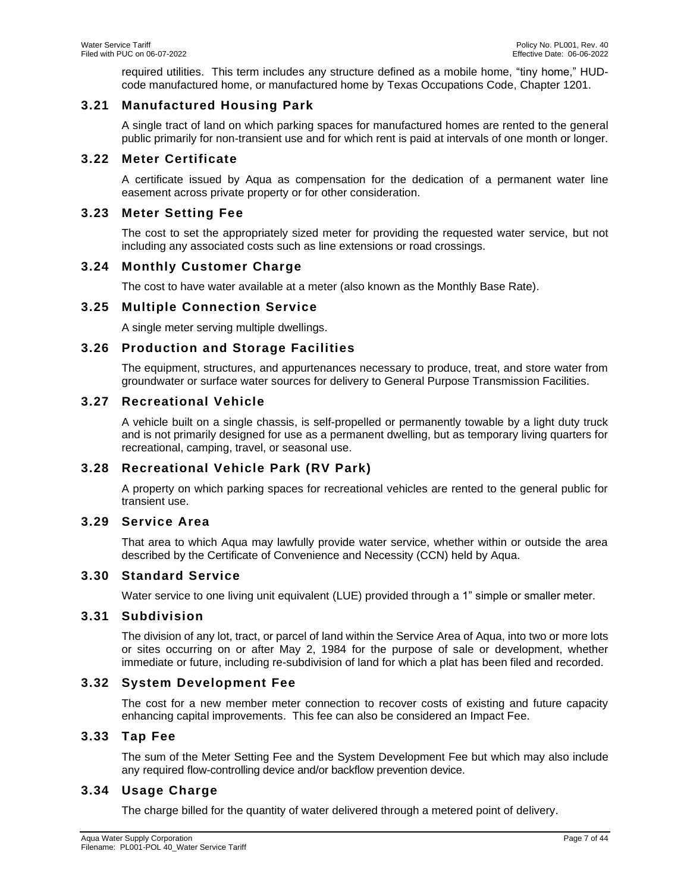required utilities. This term includes any structure defined as a mobile home, "tiny home," HUDcode manufactured home, or manufactured home by Texas Occupations Code, Chapter 1201.

# <span id="page-6-0"></span>**3.21 Manufactured Housing Park**

A single tract of land on which parking spaces for manufactured homes are rented to the general public primarily for non-transient use and for which rent is paid at intervals of one month or longer.

# <span id="page-6-1"></span>**3.22 Meter Certificate**

A certificate issued by Aqua as compensation for the dedication of a permanent water line easement across private property or for other consideration.

# <span id="page-6-2"></span>**3.23 Meter Setting Fee**

The cost to set the appropriately sized meter for providing the requested water service, but not including any associated costs such as line extensions or road crossings.

# <span id="page-6-3"></span>**3.24 Monthly Customer Charge**

The cost to have water available at a meter (also known as the Monthly Base Rate).

# <span id="page-6-4"></span>**3.25 Multiple Connection Service**

A single meter serving multiple dwellings.

# <span id="page-6-5"></span>**3.26 Production and Storage Facilities**

The equipment, structures, and appurtenances necessary to produce, treat, and store water from groundwater or surface water sources for delivery to General Purpose Transmission Facilities.

# <span id="page-6-6"></span>**3.27 Recreational Vehicle**

A vehicle built on a single chassis, is self-propelled or permanently towable by a light duty truck and is not primarily designed for use as a permanent dwelling, but as temporary living quarters for recreational, camping, travel, or seasonal use.

# <span id="page-6-7"></span>**3.28 Recreational Vehicle Park (RV Park)**

A property on which parking spaces for recreational vehicles are rented to the general public for transient use.

# <span id="page-6-8"></span>**3.29 Service Area**

That area to which Aqua may lawfully provide water service, whether within or outside the area described by the Certificate of Convenience and Necessity (CCN) held by Aqua.

# <span id="page-6-9"></span>**3.30 Standard Service**

Water service to one living unit equivalent (LUE) provided through a 1" simple or smaller meter.

# <span id="page-6-10"></span>**3.31 Subdivision**

The division of any lot, tract, or parcel of land within the Service Area of Aqua, into two or more lots or sites occurring on or after May 2, 1984 for the purpose of sale or development, whether immediate or future, including re-subdivision of land for which a plat has been filed and recorded.

# <span id="page-6-11"></span>**3.32 System Development Fee**

The cost for a new member meter connection to recover costs of existing and future capacity enhancing capital improvements. This fee can also be considered an Impact Fee.

# <span id="page-6-12"></span>**3.33 Tap Fee**

The sum of the Meter Setting Fee and the System Development Fee but which may also include any required flow-controlling device and/or backflow prevention device.

# <span id="page-6-13"></span>**3.34 Usage Charge**

The charge billed for the quantity of water delivered through a metered point of delivery.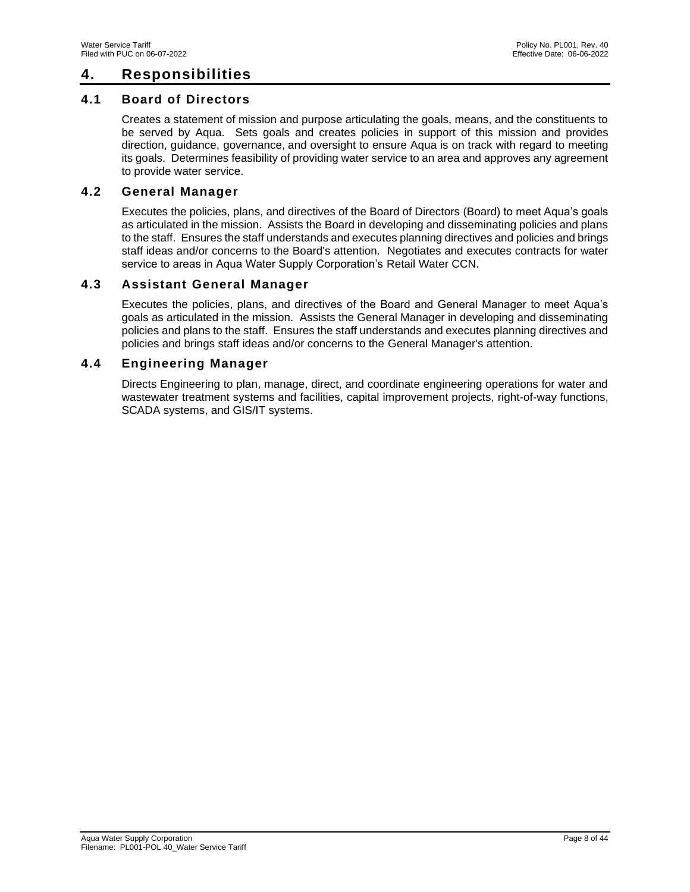# <span id="page-7-0"></span>**4. Responsibilities**

# <span id="page-7-1"></span>**4.1 Board of Directors**

Creates a statement of mission and purpose articulating the goals, means, and the constituents to be served by Aqua. Sets goals and creates policies in support of this mission and provides direction, guidance, governance, and oversight to ensure Aqua is on track with regard to meeting its goals. Determines feasibility of providing water service to an area and approves any agreement to provide water service.

# <span id="page-7-2"></span>**4.2 General Manager**

Executes the policies, plans, and directives of the Board of Directors (Board) to meet Aqua's goals as articulated in the mission. Assists the Board in developing and disseminating policies and plans to the staff. Ensures the staff understands and executes planning directives and policies and brings staff ideas and/or concerns to the Board's attention. Negotiates and executes contracts for water service to areas in Aqua Water Supply Corporation's Retail Water CCN.

# <span id="page-7-3"></span>**4.3 Assistant General Manager**

Executes the policies, plans, and directives of the Board and General Manager to meet Aqua's goals as articulated in the mission. Assists the General Manager in developing and disseminating policies and plans to the staff. Ensures the staff understands and executes planning directives and policies and brings staff ideas and/or concerns to the General Manager's attention.

# <span id="page-7-4"></span>**4.4 Engineering Manager**

Directs Engineering to plan, manage, direct, and coordinate engineering operations for water and wastewater treatment systems and facilities, capital improvement projects, right-of-way functions, SCADA systems, and GIS/IT systems.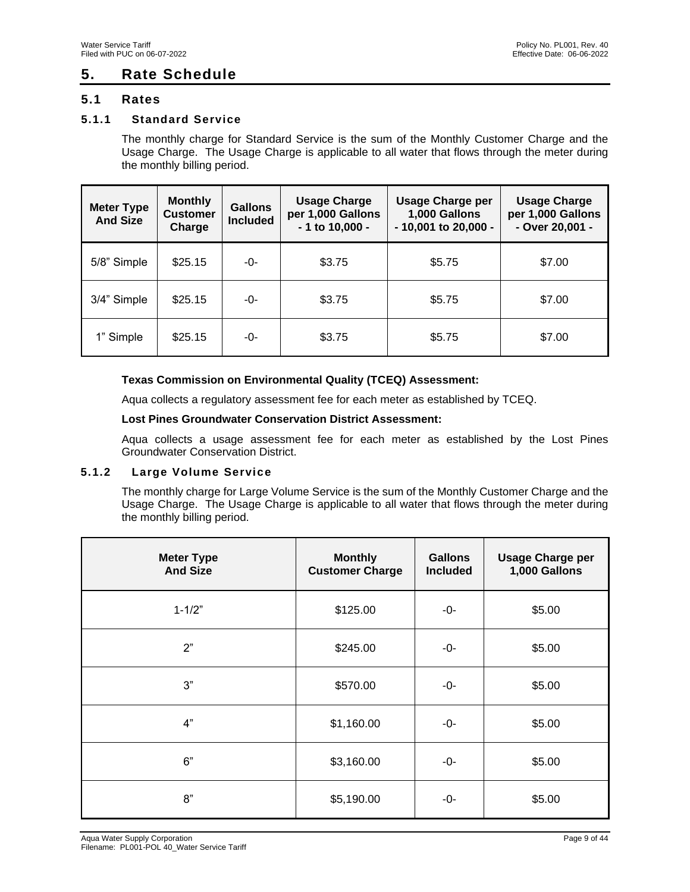# <span id="page-8-0"></span>**5. Rate Schedule**

# <span id="page-8-1"></span>**5.1 Rates**

# <span id="page-8-2"></span>**5.1.1 Standard Service**

The monthly charge for Standard Service is the sum of the Monthly Customer Charge and the Usage Charge. The Usage Charge is applicable to all water that flows through the meter during the monthly billing period.

| <b>Meter Type</b><br><b>And Size</b> | <b>Monthly</b><br><b>Customer</b><br>Charge | <b>Gallons</b><br><b>Included</b> | <b>Usage Charge</b><br>per 1,000 Gallons<br>- 1 to 10,000 - | <b>Usage Charge per</b><br>1,000 Gallons<br>$-10,001$ to 20,000 - | <b>Usage Charge</b><br>per 1,000 Gallons<br>- Over 20,001 - |
|--------------------------------------|---------------------------------------------|-----------------------------------|-------------------------------------------------------------|-------------------------------------------------------------------|-------------------------------------------------------------|
| 5/8" Simple                          | \$25.15                                     | -0-                               | \$3.75                                                      | \$5.75                                                            | \$7.00                                                      |
| 3/4" Simple                          | \$25.15                                     | -0-                               | \$3.75                                                      | \$5.75                                                            | \$7.00                                                      |
| 1" Simple                            | \$25.15                                     | -0-                               | \$3.75                                                      | \$5.75                                                            | \$7.00                                                      |

### **Texas Commission on Environmental Quality (TCEQ) Assessment:**

Aqua collects a regulatory assessment fee for each meter as established by TCEQ.

#### **Lost Pines Groundwater Conservation District Assessment:**

Aqua collects a usage assessment fee for each meter as established by the Lost Pines Groundwater Conservation District.

### <span id="page-8-3"></span>**5.1.2 Large Volume Service**

The monthly charge for Large Volume Service is the sum of the Monthly Customer Charge and the Usage Charge. The Usage Charge is applicable to all water that flows through the meter during the monthly billing period.

| <b>Meter Type</b><br><b>And Size</b> | <b>Monthly</b><br><b>Customer Charge</b> | <b>Gallons</b><br><b>Included</b> | <b>Usage Charge per</b><br>1,000 Gallons |
|--------------------------------------|------------------------------------------|-----------------------------------|------------------------------------------|
| $1 - 1/2"$                           | \$125.00                                 | -0-                               | \$5.00                                   |
| 2"                                   | \$245.00                                 | -0-                               | \$5.00                                   |
| 3"                                   | \$570.00                                 | -0-                               | \$5.00                                   |
| 4"                                   | \$1,160.00                               | -0-                               | \$5.00                                   |
| 6"                                   | \$3,160.00                               | -0-                               | \$5.00                                   |
| 8"                                   | \$5,190.00                               | -0-                               | \$5.00                                   |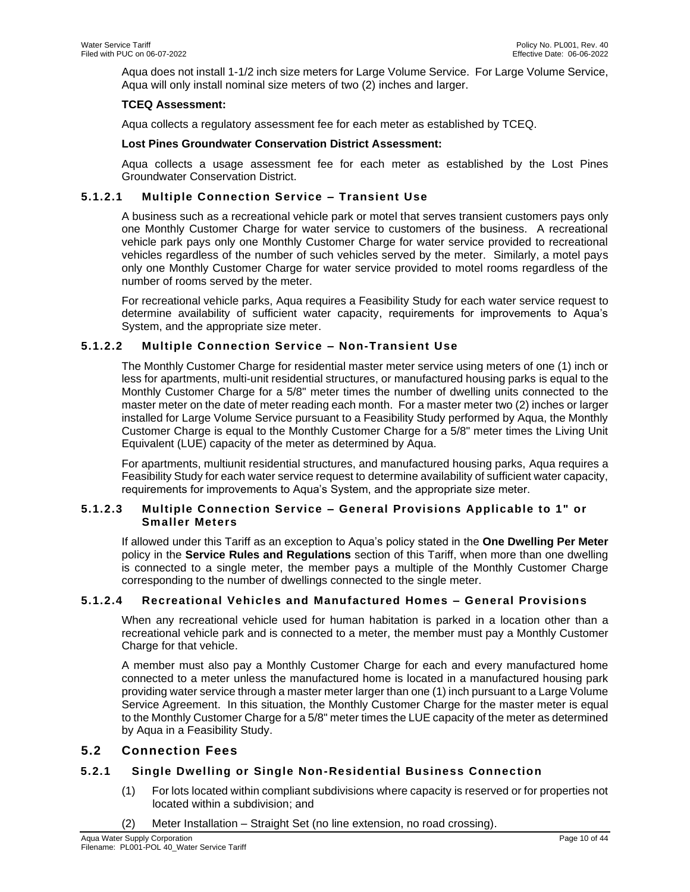Aqua does not install 1-1/2 inch size meters for Large Volume Service. For Large Volume Service, Aqua will only install nominal size meters of two (2) inches and larger.

### **TCEQ Assessment:**

Aqua collects a regulatory assessment fee for each meter as established by TCEQ.

### **Lost Pines Groundwater Conservation District Assessment:**

Aqua collects a usage assessment fee for each meter as established by the Lost Pines Groundwater Conservation District.

# **5.1.2.1 Multiple Connection Service – Transient Use**

A business such as a recreational vehicle park or motel that serves transient customers pays only one Monthly Customer Charge for water service to customers of the business. A recreational vehicle park pays only one Monthly Customer Charge for water service provided to recreational vehicles regardless of the number of such vehicles served by the meter. Similarly, a motel pays only one Monthly Customer Charge for water service provided to motel rooms regardless of the number of rooms served by the meter.

For recreational vehicle parks, Aqua requires a Feasibility Study for each water service request to determine availability of sufficient water capacity, requirements for improvements to Aqua's System, and the appropriate size meter.

# **5.1.2.2 Multiple Connection Service – Non-Transient Use**

The Monthly Customer Charge for residential master meter service using meters of one (1) inch or less for apartments, multi-unit residential structures, or manufactured housing parks is equal to the Monthly Customer Charge for a 5/8" meter times the number of dwelling units connected to the master meter on the date of meter reading each month. For a master meter two (2) inches or larger installed for Large Volume Service pursuant to a Feasibility Study performed by Aqua, the Monthly Customer Charge is equal to the Monthly Customer Charge for a 5/8" meter times the Living Unit Equivalent (LUE) capacity of the meter as determined by Aqua.

For apartments, multiunit residential structures, and manufactured housing parks, Aqua requires a Feasibility Study for each water service request to determine availability of sufficient water capacity, requirements for improvements to Aqua's System, and the appropriate size meter.

### **5.1.2.3 Multiple Connection Service – General Provisions Applicable to 1" or Smaller Meters**

If allowed under this Tariff as an exception to Aqua's policy stated in the **One Dwelling Per Meter**  policy in the **Service Rules and Regulations** section of this Tariff, when more than one dwelling is connected to a single meter, the member pays a multiple of the Monthly Customer Charge corresponding to the number of dwellings connected to the single meter.

# **5.1.2.4 Recreational Vehicles and Manufactured Homes – General Provisions**

When any recreational vehicle used for human habitation is parked in a location other than a recreational vehicle park and is connected to a meter, the member must pay a Monthly Customer Charge for that vehicle.

A member must also pay a Monthly Customer Charge for each and every manufactured home connected to a meter unless the manufactured home is located in a manufactured housing park providing water service through a master meter larger than one (1) inch pursuant to a Large Volume Service Agreement. In this situation, the Monthly Customer Charge for the master meter is equal to the Monthly Customer Charge for a 5/8" meter times the LUE capacity of the meter as determined by Aqua in a Feasibility Study.

# <span id="page-9-0"></span>**5.2 Connection Fees**

# <span id="page-9-1"></span>**5.2.1 Single Dwelling or Single Non-Residential Business Connection**

- (1) For lots located within compliant subdivisions where capacity is reserved or for properties not located within a subdivision; and
- (2) Meter Installation Straight Set (no line extension, no road crossing).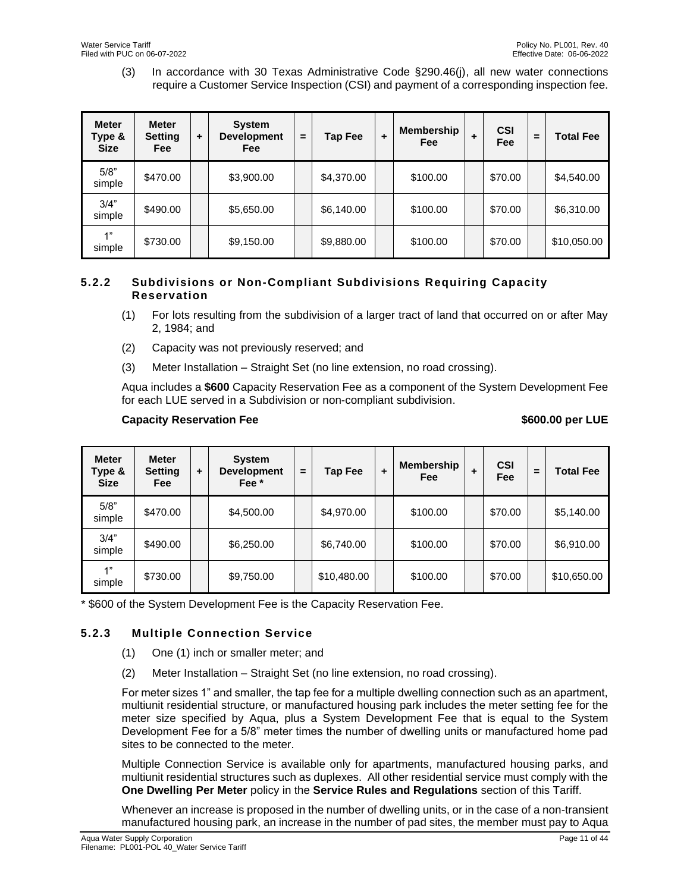(3) In accordance with 30 Texas Administrative Code §290.46(j), all new water connections require a Customer Service Inspection (CSI) and payment of a corresponding inspection fee.

| <b>Meter</b><br>Type &<br><b>Size</b> | <b>Meter</b><br><b>Setting</b><br><b>Fee</b> | ٠ | <b>System</b><br><b>Development</b><br><b>Fee</b> | $=$ | Tap Fee    | ٠ | <b>Membership</b><br>Fee | ٠ | <b>CSI</b><br>Fee | = | <b>Total Fee</b> |
|---------------------------------------|----------------------------------------------|---|---------------------------------------------------|-----|------------|---|--------------------------|---|-------------------|---|------------------|
| 5/8"<br>simple                        | \$470.00                                     |   | \$3,900.00                                        |     | \$4,370.00 |   | \$100.00                 |   | \$70.00           |   | \$4,540.00       |
| 3/4"<br>simple                        | \$490.00                                     |   | \$5,650.00                                        |     | \$6,140.00 |   | \$100.00                 |   | \$70.00           |   | \$6,310.00       |
| 1"<br>simple                          | \$730.00                                     |   | \$9,150.00                                        |     | \$9,880.00 |   | \$100.00                 |   | \$70.00           |   | \$10,050.00      |

# <span id="page-10-0"></span>**5.2.2 Subdivisions or Non-Compliant Subdivisions Requiring Capacity Reservation**

- (1) For lots resulting from the subdivision of a larger tract of land that occurred on or after May 2, 1984; and
- (2) Capacity was not previously reserved; and
- (3) Meter Installation Straight Set (no line extension, no road crossing).

Aqua includes a **\$600** Capacity Reservation Fee as a component of the System Development Fee for each LUE served in a Subdivision or non-compliant subdivision.

### **Capacity Reservation Fee \$600.00** per LUE

| <b>Meter</b><br>Type &<br><b>Size</b> | <b>Meter</b><br><b>Setting</b><br><b>Fee</b> | $\ddot{}$ | <b>System</b><br><b>Development</b><br>Fee * | $\equiv$ | Tap Fee     | ٠ | <b>Membership</b><br><b>Fee</b> | ٠ | <b>CSI</b><br>Fee | Ξ | <b>Total Fee</b> |
|---------------------------------------|----------------------------------------------|-----------|----------------------------------------------|----------|-------------|---|---------------------------------|---|-------------------|---|------------------|
| 5/8"<br>simple                        | \$470.00                                     |           | \$4,500.00                                   |          | \$4,970.00  |   | \$100.00                        |   | \$70.00           |   | \$5,140.00       |
| 3/4"<br>simple                        | \$490.00                                     |           | \$6,250.00                                   |          | \$6,740.00  |   | \$100.00                        |   | \$70.00           |   | \$6,910.00       |
| 1"<br>simple                          | \$730.00                                     |           | \$9,750.00                                   |          | \$10,480.00 |   | \$100.00                        |   | \$70.00           |   | \$10,650.00      |

\* \$600 of the System Development Fee is the Capacity Reservation Fee.

# <span id="page-10-1"></span>**5.2.3 Multiple Connection Service**

- (1) One (1) inch or smaller meter; and
- (2) Meter Installation Straight Set (no line extension, no road crossing).

For meter sizes 1" and smaller, the tap fee for a multiple dwelling connection such as an apartment, multiunit residential structure, or manufactured housing park includes the meter setting fee for the meter size specified by Aqua, plus a System Development Fee that is equal to the System Development Fee for a 5/8" meter times the number of dwelling units or manufactured home pad sites to be connected to the meter.

Multiple Connection Service is available only for apartments, manufactured housing parks, and multiunit residential structures such as duplexes. All other residential service must comply with the **One Dwelling Per Meter** policy in the **Service Rules and Regulations** section of this Tariff.

Whenever an increase is proposed in the number of dwelling units, or in the case of a non-transient manufactured housing park, an increase in the number of pad sites, the member must pay to Aqua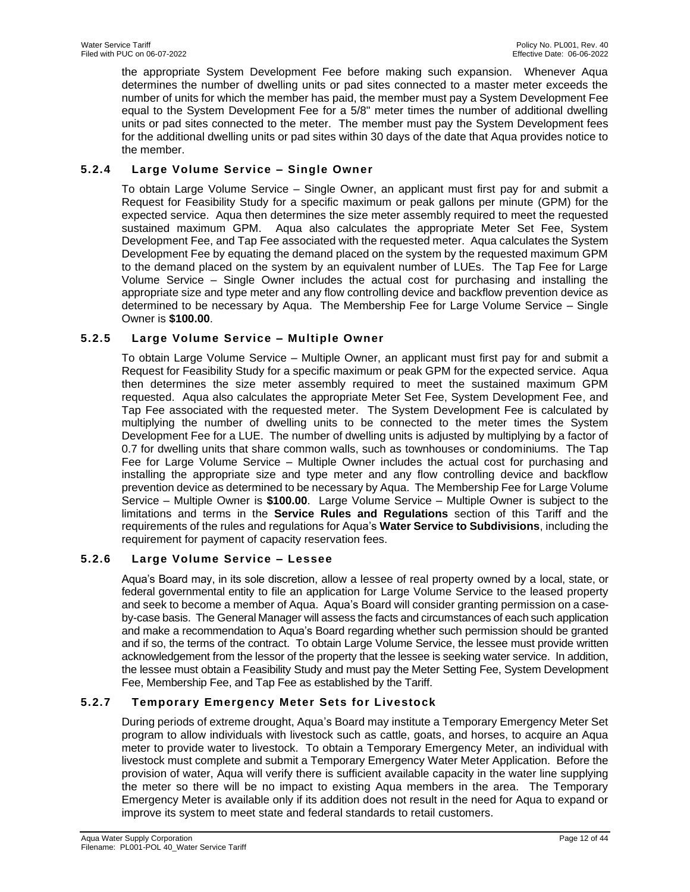the appropriate System Development Fee before making such expansion. Whenever Aqua determines the number of dwelling units or pad sites connected to a master meter exceeds the number of units for which the member has paid, the member must pay a System Development Fee equal to the System Development Fee for a 5/8" meter times the number of additional dwelling units or pad sites connected to the meter. The member must pay the System Development fees for the additional dwelling units or pad sites within 30 days of the date that Aqua provides notice to the member.

# <span id="page-11-0"></span>**5.2.4 Large Volume Service – Single Owner**

To obtain Large Volume Service – Single Owner, an applicant must first pay for and submit a Request for Feasibility Study for a specific maximum or peak gallons per minute (GPM) for the expected service. Aqua then determines the size meter assembly required to meet the requested sustained maximum GPM. Aqua also calculates the appropriate Meter Set Fee, System Development Fee, and Tap Fee associated with the requested meter. Aqua calculates the System Development Fee by equating the demand placed on the system by the requested maximum GPM to the demand placed on the system by an equivalent number of LUEs. The Tap Fee for Large Volume Service – Single Owner includes the actual cost for purchasing and installing the appropriate size and type meter and any flow controlling device and backflow prevention device as determined to be necessary by Aqua. The Membership Fee for Large Volume Service – Single Owner is **\$100.00**.

# <span id="page-11-1"></span>**5.2.5 Large Volume Service – Multiple Owner**

To obtain Large Volume Service – Multiple Owner, an applicant must first pay for and submit a Request for Feasibility Study for a specific maximum or peak GPM for the expected service. Aqua then determines the size meter assembly required to meet the sustained maximum GPM requested. Aqua also calculates the appropriate Meter Set Fee, System Development Fee, and Tap Fee associated with the requested meter. The System Development Fee is calculated by multiplying the number of dwelling units to be connected to the meter times the System Development Fee for a LUE. The number of dwelling units is adjusted by multiplying by a factor of 0.7 for dwelling units that share common walls, such as townhouses or condominiums. The Tap Fee for Large Volume Service – Multiple Owner includes the actual cost for purchasing and installing the appropriate size and type meter and any flow controlling device and backflow prevention device as determined to be necessary by Aqua. The Membership Fee for Large Volume Service – Multiple Owner is **\$100.00**. Large Volume Service – Multiple Owner is subject to the limitations and terms in the **Service Rules and Regulations** section of this Tariff and the requirements of the rules and regulations for Aqua's **Water Service to Subdivisions**, including the requirement for payment of capacity reservation fees.

# <span id="page-11-2"></span>**5.2.6 Large Volume Service – Lessee**

Aqua's Board may, in its sole discretion, allow a lessee of real property owned by a local, state, or federal governmental entity to file an application for Large Volume Service to the leased property and seek to become a member of Aqua. Aqua's Board will consider granting permission on a caseby-case basis. The General Manager will assess the facts and circumstances of each such application and make a recommendation to Aqua's Board regarding whether such permission should be granted and if so, the terms of the contract. To obtain Large Volume Service, the lessee must provide written acknowledgement from the lessor of the property that the lessee is seeking water service. In addition, the lessee must obtain a Feasibility Study and must pay the Meter Setting Fee, System Development Fee, Membership Fee, and Tap Fee as established by the Tariff.

# <span id="page-11-3"></span>**5.2.7 Temporary Emergency Meter Sets for Livestock**

During periods of extreme drought, Aqua's Board may institute a Temporary Emergency Meter Set program to allow individuals with livestock such as cattle, goats, and horses, to acquire an Aqua meter to provide water to livestock. To obtain a Temporary Emergency Meter, an individual with livestock must complete and submit a Temporary Emergency Water Meter Application. Before the provision of water, Aqua will verify there is sufficient available capacity in the water line supplying the meter so there will be no impact to existing Aqua members in the area. The Temporary Emergency Meter is available only if its addition does not result in the need for Aqua to expand or improve its system to meet state and federal standards to retail customers.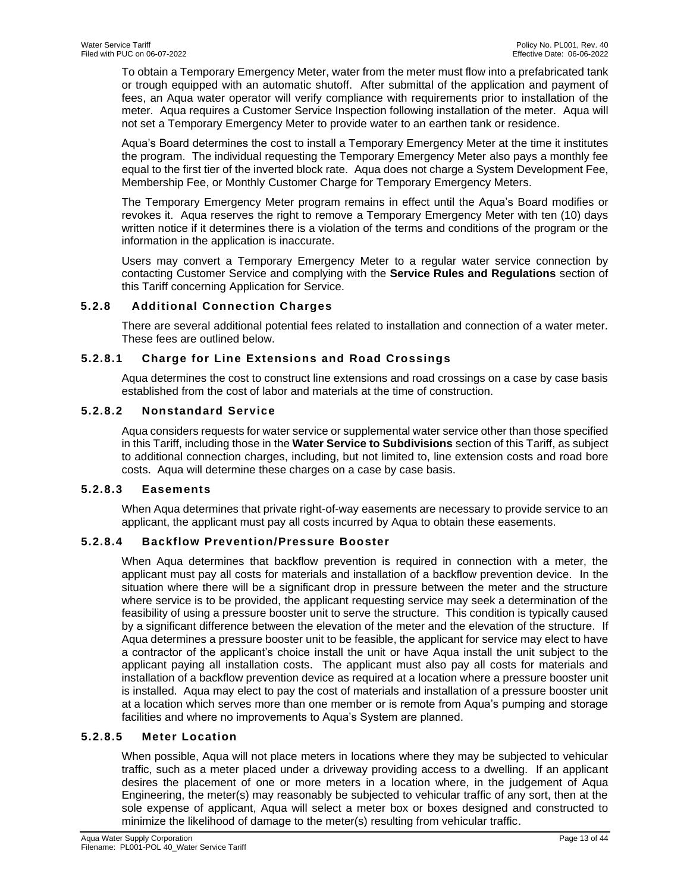To obtain a Temporary Emergency Meter, water from the meter must flow into a prefabricated tank or trough equipped with an automatic shutoff. After submittal of the application and payment of fees, an Aqua water operator will verify compliance with requirements prior to installation of the meter. Aqua requires a Customer Service Inspection following installation of the meter. Aqua will not set a Temporary Emergency Meter to provide water to an earthen tank or residence.

Aqua's Board determines the cost to install a Temporary Emergency Meter at the time it institutes the program. The individual requesting the Temporary Emergency Meter also pays a monthly fee equal to the first tier of the inverted block rate. Aqua does not charge a System Development Fee, Membership Fee, or Monthly Customer Charge for Temporary Emergency Meters.

The Temporary Emergency Meter program remains in effect until the Aqua's Board modifies or revokes it. Aqua reserves the right to remove a Temporary Emergency Meter with ten (10) days written notice if it determines there is a violation of the terms and conditions of the program or the information in the application is inaccurate.

Users may convert a Temporary Emergency Meter to a regular water service connection by contacting Customer Service and complying with the **Service Rules and Regulations** section of this Tariff concerning Application for Service.

# <span id="page-12-0"></span>**5.2.8 Additional Connection Charges**

There are several additional potential fees related to installation and connection of a water meter. These fees are outlined below.

# **5.2.8.1 Charge for Line Extensions and Road Crossings**

Aqua determines the cost to construct line extensions and road crossings on a case by case basis established from the cost of labor and materials at the time of construction.

### **5.2.8.2 Nonstandard Service**

Aqua considers requests for water service or supplemental water service other than those specified in this Tariff, including those in the **Water Service to Subdivisions** section of this Tariff, as subject to additional connection charges, including, but not limited to, line extension costs and road bore costs. Aqua will determine these charges on a case by case basis.

# **5.2.8.3 Easements**

When Aqua determines that private right-of-way easements are necessary to provide service to an applicant, the applicant must pay all costs incurred by Aqua to obtain these easements.

# **5.2.8.4 Backflow Prevention/Pressure Booster**

When Aqua determines that backflow prevention is required in connection with a meter, the applicant must pay all costs for materials and installation of a backflow prevention device. In the situation where there will be a significant drop in pressure between the meter and the structure where service is to be provided, the applicant requesting service may seek a determination of the feasibility of using a pressure booster unit to serve the structure. This condition is typically caused by a significant difference between the elevation of the meter and the elevation of the structure. If Aqua determines a pressure booster unit to be feasible, the applicant for service may elect to have a contractor of the applicant's choice install the unit or have Aqua install the unit subject to the applicant paying all installation costs. The applicant must also pay all costs for materials and installation of a backflow prevention device as required at a location where a pressure booster unit is installed. Aqua may elect to pay the cost of materials and installation of a pressure booster unit at a location which serves more than one member or is remote from Aqua's pumping and storage facilities and where no improvements to Aqua's System are planned.

### **5.2.8.5 Meter Location**

When possible, Aqua will not place meters in locations where they may be subjected to vehicular traffic, such as a meter placed under a driveway providing access to a dwelling. If an applicant desires the placement of one or more meters in a location where, in the judgement of Aqua Engineering, the meter(s) may reasonably be subjected to vehicular traffic of any sort, then at the sole expense of applicant, Aqua will select a meter box or boxes designed and constructed to minimize the likelihood of damage to the meter(s) resulting from vehicular traffic.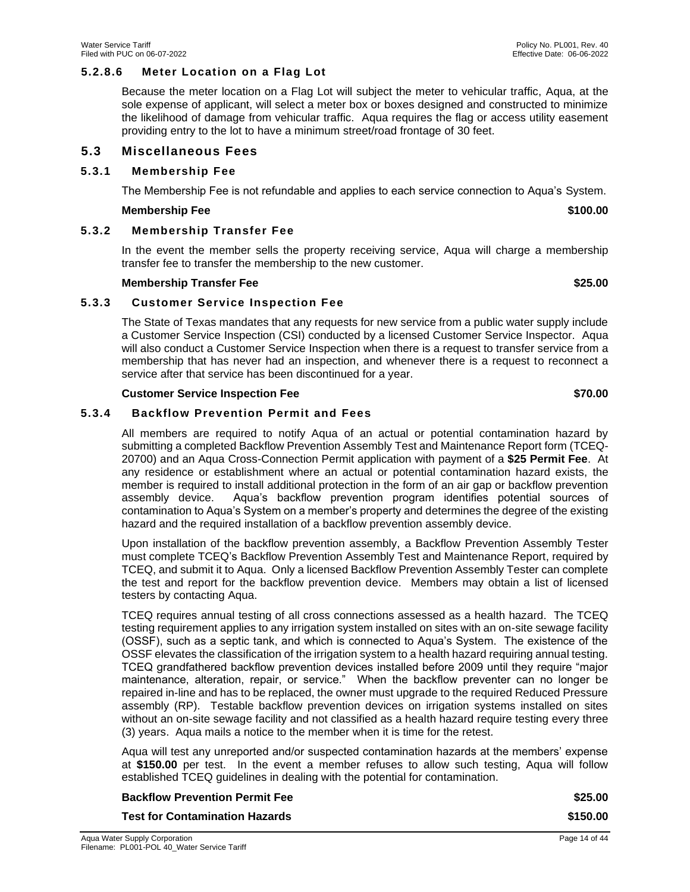### **5.2.8.6 Meter Location on a Flag Lot**

Because the meter location on a Flag Lot will subject the meter to vehicular traffic, Aqua, at the sole expense of applicant, will select a meter box or boxes designed and constructed to minimize the likelihood of damage from vehicular traffic. Aqua requires the flag or access utility easement providing entry to the lot to have a minimum street/road frontage of 30 feet.

### <span id="page-13-0"></span>**5.3 Miscellaneous Fees**

#### <span id="page-13-1"></span>**5.3.1 Membership Fee**

The Membership Fee is not refundable and applies to each service connection to Aqua's System.

#### **Membership Fee \$100.00**

### <span id="page-13-2"></span>**5.3.2 Membership Transfer Fee**

In the event the member sells the property receiving service, Aqua will charge a membership transfer fee to transfer the membership to the new customer.

#### **Membership Transfer Fee \$25.00**

### <span id="page-13-3"></span>**5.3.3 Customer Service Inspection Fee**

The State of Texas mandates that any requests for new service from a public water supply include a Customer Service Inspection (CSI) conducted by a licensed Customer Service Inspector. Aqua will also conduct a Customer Service Inspection when there is a request to transfer service from a membership that has never had an inspection, and whenever there is a request to reconnect a service after that service has been discontinued for a year.

#### **Customer Service Inspection Fee \$70.00**

### <span id="page-13-4"></span>**5.3.4 Backflow Prevention Permit and Fees**

All members are required to notify Aqua of an actual or potential contamination hazard by submitting a completed Backflow Prevention Assembly Test and Maintenance Report form (TCEQ-20700) and an Aqua Cross-Connection Permit application with payment of a **\$25 Permit Fee**. At any residence or establishment where an actual or potential contamination hazard exists, the member is required to install additional protection in the form of an air gap or backflow prevention assembly device. Aqua's backflow prevention program identifies potential sources of contamination to Aqua's System on a member's property and determines the degree of the existing hazard and the required installation of a backflow prevention assembly device.

Upon installation of the backflow prevention assembly, a Backflow Prevention Assembly Tester must complete TCEQ's Backflow Prevention Assembly Test and Maintenance Report, required by TCEQ, and submit it to Aqua. Only a licensed Backflow Prevention Assembly Tester can complete the test and report for the backflow prevention device. Members may obtain a list of licensed testers by contacting Aqua.

TCEQ requires annual testing of all cross connections assessed as a health hazard. The TCEQ testing requirement applies to any irrigation system installed on sites with an on-site sewage facility (OSSF), such as a septic tank, and which is connected to Aqua's System. The existence of the OSSF elevates the classification of the irrigation system to a health hazard requiring annual testing. TCEQ grandfathered backflow prevention devices installed before 2009 until they require "major maintenance, alteration, repair, or service." When the backflow preventer can no longer be repaired in-line and has to be replaced, the owner must upgrade to the required Reduced Pressure assembly (RP). Testable backflow prevention devices on irrigation systems installed on sites without an on-site sewage facility and not classified as a health hazard require testing every three (3) years. Aqua mails a notice to the member when it is time for the retest.

Aqua will test any unreported and/or suspected contamination hazards at the members' expense at **\$150.00** per test. In the event a member refuses to allow such testing, Aqua will follow established TCEQ guidelines in dealing with the potential for contamination.

| <b>Backflow Prevention Permit Fee</b> | \$25.00  |
|---------------------------------------|----------|
| <b>Test for Contamination Hazards</b> | \$150.00 |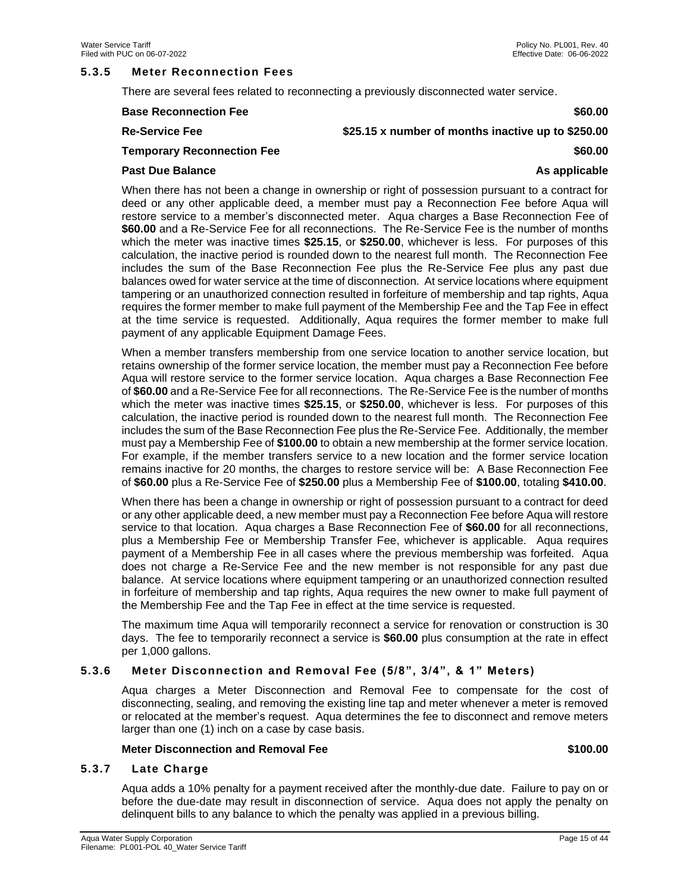#### <span id="page-14-0"></span>**5.3.5 Meter Reconnection Fees**

There are several fees related to reconnecting a previously disconnected water service.

| <b>Base Reconnection Fee</b>      | \$60.00                                            |
|-----------------------------------|----------------------------------------------------|
| <b>Re-Service Fee</b>             | \$25.15 x number of months inactive up to \$250.00 |
| <b>Temporary Reconnection Fee</b> | \$60.00                                            |
| <b>Past Due Balance</b>           | As applicable                                      |

When there has not been a change in ownership or right of possession pursuant to a contract for deed or any other applicable deed, a member must pay a Reconnection Fee before Aqua will restore service to a member's disconnected meter. Aqua charges a Base Reconnection Fee of **\$60.00** and a Re-Service Fee for all reconnections. The Re-Service Fee is the number of months which the meter was inactive times **\$25.15**, or **\$250.00**, whichever is less. For purposes of this calculation, the inactive period is rounded down to the nearest full month. The Reconnection Fee includes the sum of the Base Reconnection Fee plus the Re-Service Fee plus any past due balances owed for water service at the time of disconnection. At service locations where equipment tampering or an unauthorized connection resulted in forfeiture of membership and tap rights, Aqua requires the former member to make full payment of the Membership Fee and the Tap Fee in effect at the time service is requested. Additionally, Aqua requires the former member to make full payment of any applicable Equipment Damage Fees.

When a member transfers membership from one service location to another service location, but retains ownership of the former service location, the member must pay a Reconnection Fee before Aqua will restore service to the former service location. Aqua charges a Base Reconnection Fee of **\$60.00** and a Re-Service Fee for all reconnections. The Re-Service Fee is the number of months which the meter was inactive times **\$25.15**, or **\$250.00**, whichever is less. For purposes of this calculation, the inactive period is rounded down to the nearest full month. The Reconnection Fee includes the sum of the Base Reconnection Fee plus the Re-Service Fee. Additionally, the member must pay a Membership Fee of **\$100.00** to obtain a new membership at the former service location. For example, if the member transfers service to a new location and the former service location remains inactive for 20 months, the charges to restore service will be: A Base Reconnection Fee of **\$60.00** plus a Re-Service Fee of **\$250.00** plus a Membership Fee of **\$100.00**, totaling **\$410.00**.

When there has been a change in ownership or right of possession pursuant to a contract for deed or any other applicable deed, a new member must pay a Reconnection Fee before Aqua will restore service to that location. Aqua charges a Base Reconnection Fee of **\$60.00** for all reconnections, plus a Membership Fee or Membership Transfer Fee, whichever is applicable. Aqua requires payment of a Membership Fee in all cases where the previous membership was forfeited. Aqua does not charge a Re-Service Fee and the new member is not responsible for any past due balance. At service locations where equipment tampering or an unauthorized connection resulted in forfeiture of membership and tap rights, Aqua requires the new owner to make full payment of the Membership Fee and the Tap Fee in effect at the time service is requested.

The maximum time Aqua will temporarily reconnect a service for renovation or construction is 30 days. The fee to temporarily reconnect a service is **\$60.00** plus consumption at the rate in effect per 1,000 gallons.

#### <span id="page-14-1"></span>**5.3.6 Meter Disconnection and Removal Fee (5/8", 3/4", & 1" Meters)**

Aqua charges a Meter Disconnection and Removal Fee to compensate for the cost of disconnecting, sealing, and removing the existing line tap and meter whenever a meter is removed or relocated at the member's request. Aqua determines the fee to disconnect and remove meters larger than one (1) inch on a case by case basis.

#### **Meter Disconnection and Removal Fee \$100.00**

#### <span id="page-14-2"></span>**5.3.7 Late Charge**

Aqua adds a 10% penalty for a payment received after the monthly-due date. Failure to pay on or before the due-date may result in disconnection of service. Aqua does not apply the penalty on delinquent bills to any balance to which the penalty was applied in a previous billing.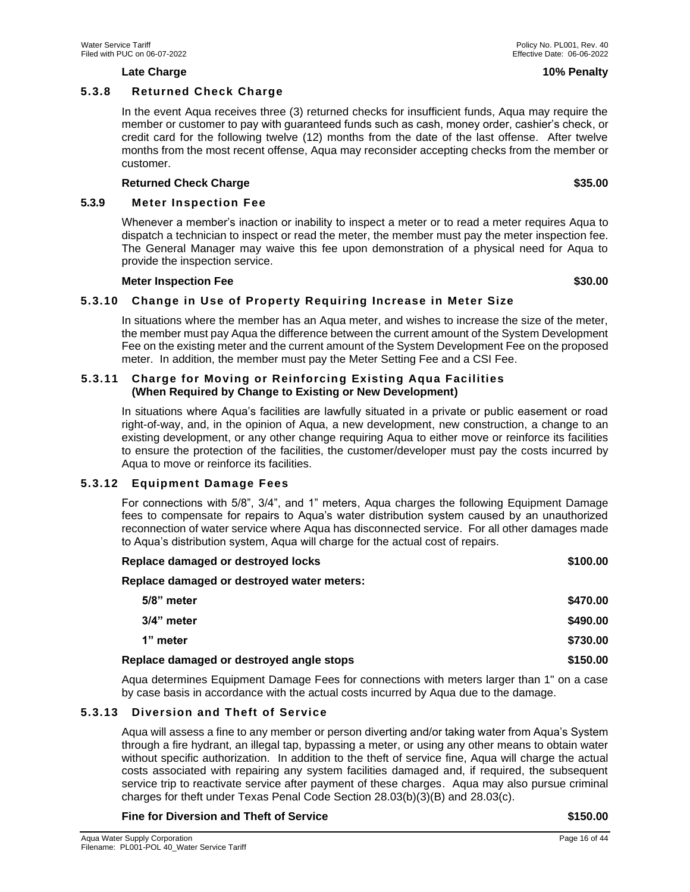#### **Late Charge 10% Penalty**

#### <span id="page-15-0"></span>**5.3.8 Returned Check Charge**

In the event Aqua receives three (3) returned checks for insufficient funds, Aqua may require the member or customer to pay with guaranteed funds such as cash, money order, cashier's check, or credit card for the following twelve (12) months from the date of the last offense. After twelve months from the most recent offense, Aqua may reconsider accepting checks from the member or customer.

#### **Returned Check Charge \$35.00**

#### <span id="page-15-1"></span>**5.3.9 Meter Inspection Fee**

Whenever a member's inaction or inability to inspect a meter or to read a meter requires Aqua to dispatch a technician to inspect or read the meter, the member must pay the meter inspection fee. The General Manager may waive this fee upon demonstration of a physical need for Aqua to provide the inspection service.

#### **Meter Inspection Fee \$30.00**

# <span id="page-15-2"></span>**5.3.10 Change in Use of Property Requiring Increase in Meter Size**

In situations where the member has an Aqua meter, and wishes to increase the size of the meter, the member must pay Aqua the difference between the current amount of the System Development Fee on the existing meter and the current amount of the System Development Fee on the proposed meter. In addition, the member must pay the Meter Setting Fee and a CSI Fee.

### <span id="page-15-3"></span>**5.3.11 Charge for Moving or Reinforcing Existing Aqua Facilities (When Required by Change to Existing or New Development)**

In situations where Aqua's facilities are lawfully situated in a private or public easement or road right-of-way, and, in the opinion of Aqua, a new development, new construction, a change to an existing development, or any other change requiring Aqua to either move or reinforce its facilities to ensure the protection of the facilities, the customer/developer must pay the costs incurred by Aqua to move or reinforce its facilities.

#### <span id="page-15-4"></span>**5.3.12 Equipment Damage Fees**

For connections with 5/8", 3/4", and 1" meters, Aqua charges the following Equipment Damage fees to compensate for repairs to Aqua's water distribution system caused by an unauthorized reconnection of water service where Aqua has disconnected service. For all other damages made to Aqua's distribution system, Aqua will charge for the actual cost of repairs.

| Replace damaged or destroyed water meters:<br>5/8" meter<br>3/4" meter<br>1" meter<br>Replace damaged or destroyed angle stops | Replace damaged or destroyed locks | \$100.00 |
|--------------------------------------------------------------------------------------------------------------------------------|------------------------------------|----------|
|                                                                                                                                |                                    |          |
|                                                                                                                                |                                    | \$470.00 |
|                                                                                                                                |                                    | \$490.00 |
|                                                                                                                                |                                    | \$730.00 |
|                                                                                                                                |                                    | \$150.00 |

Aqua determines Equipment Damage Fees for connections with meters larger than 1" on a case by case basis in accordance with the actual costs incurred by Aqua due to the damage.

#### <span id="page-15-5"></span>**5.3.13 Diversion and Theft of Service**

Aqua will assess a fine to any member or person diverting and/or taking water from Aqua's System through a fire hydrant, an illegal tap, bypassing a meter, or using any other means to obtain water without specific authorization. In addition to the theft of service fine, Aqua will charge the actual costs associated with repairing any system facilities damaged and, if required, the subsequent service trip to reactivate service after payment of these charges. Aqua may also pursue criminal charges for theft under Texas Penal Code Section 28.03(b)(3)(B) and 28.03(c).

#### **Fine for Diversion and Theft of Service \$150.00**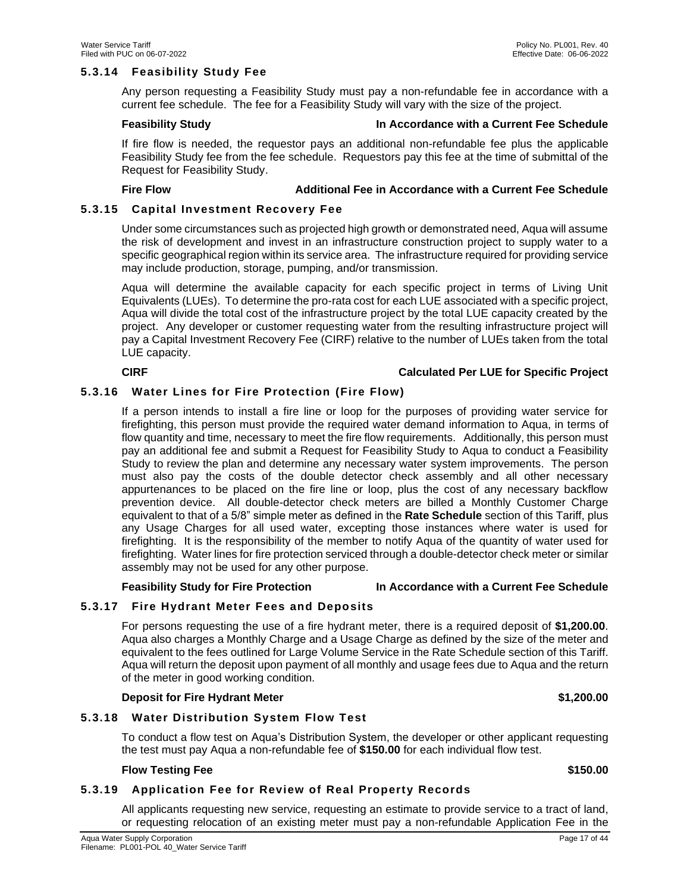### <span id="page-16-0"></span>**5.3.14 Feasibility Study Fee**

Any person requesting a Feasibility Study must pay a non-refundable fee in accordance with a current fee schedule. The fee for a Feasibility Study will vary with the size of the project.

#### **Feasibility Study In Accordance with a Current Fee Schedule**

If fire flow is needed, the requestor pays an additional non-refundable fee plus the applicable Feasibility Study fee from the fee schedule. Requestors pay this fee at the time of submittal of the Request for Feasibility Study.

#### **Fire Flow Additional Fee in Accordance with a Current Fee Schedule**

### <span id="page-16-1"></span>**5.3.15 Capital Investment Recovery Fee**

Under some circumstances such as projected high growth or demonstrated need, Aqua will assume the risk of development and invest in an infrastructure construction project to supply water to a specific geographical region within its service area. The infrastructure required for providing service may include production, storage, pumping, and/or transmission.

Aqua will determine the available capacity for each specific project in terms of Living Unit Equivalents (LUEs). To determine the pro-rata cost for each LUE associated with a specific project, Aqua will divide the total cost of the infrastructure project by the total LUE capacity created by the project. Any developer or customer requesting water from the resulting infrastructure project will pay a Capital Investment Recovery Fee (CIRF) relative to the number of LUEs taken from the total LUE capacity.

### **CIRF Calculated Per LUE for Specific Project**

### <span id="page-16-2"></span>**5.3.16 Water Lines for Fire Protection (Fire Flow)**

If a person intends to install a fire line or loop for the purposes of providing water service for firefighting, this person must provide the required water demand information to Aqua, in terms of flow quantity and time, necessary to meet the fire flow requirements. Additionally, this person must pay an additional fee and submit a Request for Feasibility Study to Aqua to conduct a Feasibility Study to review the plan and determine any necessary water system improvements. The person must also pay the costs of the double detector check assembly and all other necessary appurtenances to be placed on the fire line or loop, plus the cost of any necessary backflow prevention device. All double-detector check meters are billed a Monthly Customer Charge equivalent to that of a 5/8" simple meter as defined in the **Rate Schedule** section of this Tariff, plus any Usage Charges for all used water, excepting those instances where water is used for firefighting. It is the responsibility of the member to notify Aqua of the quantity of water used for firefighting. Water lines for fire protection serviced through a double-detector check meter or similar assembly may not be used for any other purpose.

#### **Feasibility Study for Fire Protection In Accordance with a Current Fee Schedule**

# <span id="page-16-3"></span>**5.3.17 Fire Hydrant Meter Fees and Deposits**

For persons requesting the use of a fire hydrant meter, there is a required deposit of **\$1,200.00**. Aqua also charges a Monthly Charge and a Usage Charge as defined by the size of the meter and equivalent to the fees outlined for Large Volume Service in the Rate Schedule section of this Tariff. Aqua will return the deposit upon payment of all monthly and usage fees due to Aqua and the return of the meter in good working condition.

#### **Deposit for Fire Hydrant Meter \$1,200.00**

<span id="page-16-4"></span>**5.3.18 Water Distribution System Flow Test** 

To conduct a flow test on Aqua's Distribution System, the developer or other applicant requesting the test must pay Aqua a non-refundable fee of **\$150.00** for each individual flow test.

#### **Flow Testing Fee \$150.00**

#### <span id="page-16-5"></span>**5.3.19 Application Fee for Review of Real Property Records**

All applicants requesting new service, requesting an estimate to provide service to a tract of land, or requesting relocation of an existing meter must pay a non-refundable Application Fee in the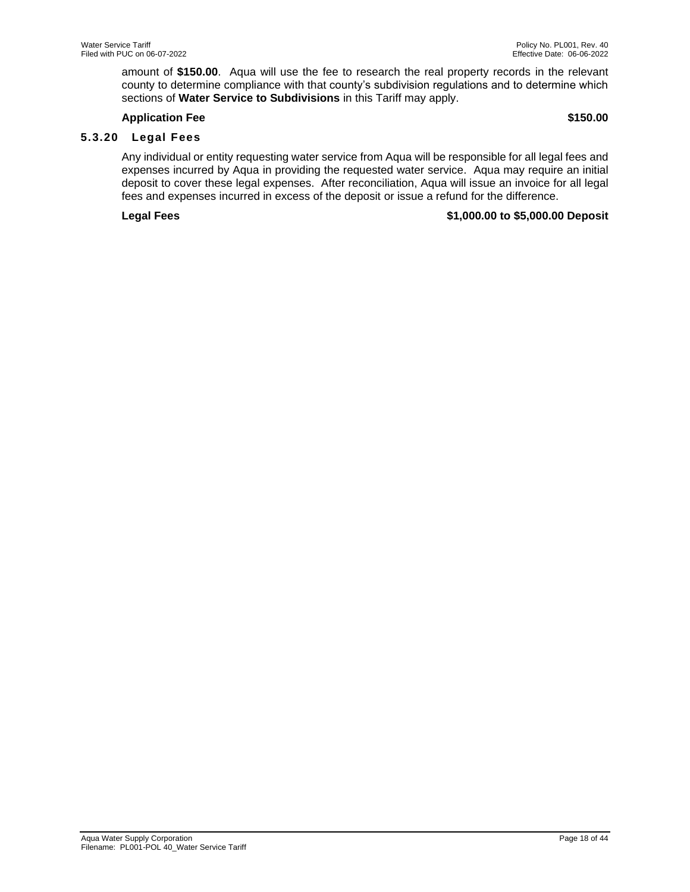amount of **\$150.00**. Aqua will use the fee to research the real property records in the relevant county to determine compliance with that county's subdivision regulations and to determine which sections of **Water Service to Subdivisions** in this Tariff may apply.

#### **Application Fee \$150.00**

# <span id="page-17-0"></span>**5.3.20 Legal Fees**

Any individual or entity requesting water service from Aqua will be responsible for all legal fees and expenses incurred by Aqua in providing the requested water service. Aqua may require an initial deposit to cover these legal expenses. After reconciliation, Aqua will issue an invoice for all legal fees and expenses incurred in excess of the deposit or issue a refund for the difference.

### **Legal Fees \$1,000.00 to \$5,000.00 Deposit**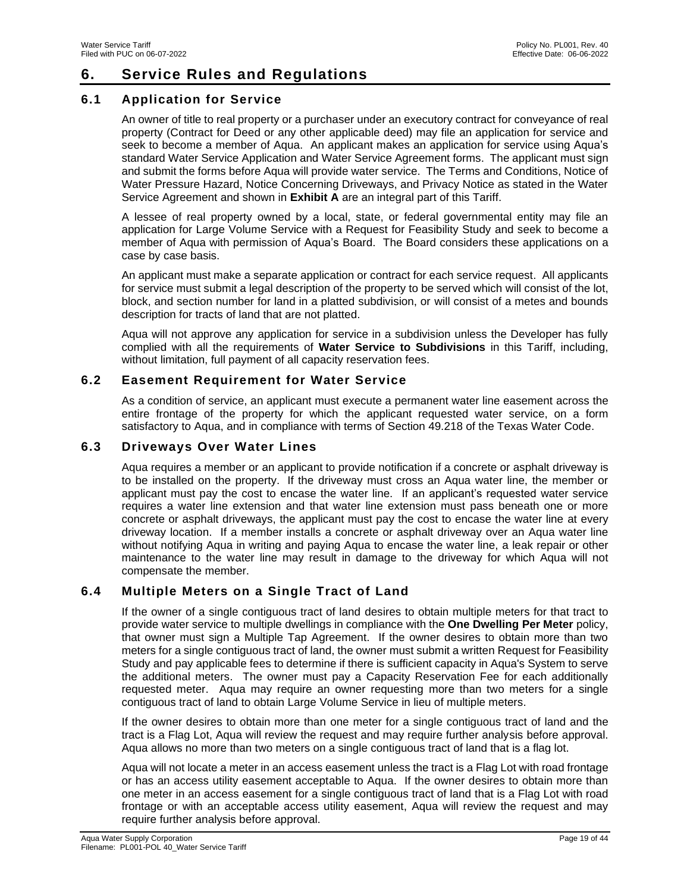# <span id="page-18-0"></span>**6. Service Rules and Regulations**

# <span id="page-18-1"></span>**6.1 Application for Service**

An owner of title to real property or a purchaser under an executory contract for conveyance of real property (Contract for Deed or any other applicable deed) may file an application for service and seek to become a member of Aqua. An applicant makes an application for service using Aqua's standard Water Service Application and Water Service Agreement forms. The applicant must sign and submit the forms before Aqua will provide water service. The Terms and Conditions, Notice of Water Pressure Hazard, Notice Concerning Driveways, and Privacy Notice as stated in the Water Service Agreement and shown in **Exhibit A** are an integral part of this Tariff.

A lessee of real property owned by a local, state, or federal governmental entity may file an application for Large Volume Service with a Request for Feasibility Study and seek to become a member of Aqua with permission of Aqua's Board. The Board considers these applications on a case by case basis.

An applicant must make a separate application or contract for each service request. All applicants for service must submit a legal description of the property to be served which will consist of the lot, block, and section number for land in a platted subdivision, or will consist of a metes and bounds description for tracts of land that are not platted.

Aqua will not approve any application for service in a subdivision unless the Developer has fully complied with all the requirements of **Water Service to Subdivisions** in this Tariff, including, without limitation, full payment of all capacity reservation fees.

# <span id="page-18-2"></span>**6.2 Easement Requirement for Water Service**

As a condition of service, an applicant must execute a permanent water line easement across the entire frontage of the property for which the applicant requested water service, on a form satisfactory to Aqua, and in compliance with terms of Section 49.218 of the Texas Water Code.

# <span id="page-18-3"></span>**6.3 Driveways Over Water Lines**

Aqua requires a member or an applicant to provide notification if a concrete or asphalt driveway is to be installed on the property. If the driveway must cross an Aqua water line, the member or applicant must pay the cost to encase the water line. If an applicant's requested water service requires a water line extension and that water line extension must pass beneath one or more concrete or asphalt driveways, the applicant must pay the cost to encase the water line at every driveway location. If a member installs a concrete or asphalt driveway over an Aqua water line without notifying Aqua in writing and paying Aqua to encase the water line, a leak repair or other maintenance to the water line may result in damage to the driveway for which Aqua will not compensate the member.

# <span id="page-18-4"></span>**6.4 Multiple Meters on a Single Tract of Land**

If the owner of a single contiguous tract of land desires to obtain multiple meters for that tract to provide water service to multiple dwellings in compliance with the **One Dwelling Per Meter** policy, that owner must sign a Multiple Tap Agreement. If the owner desires to obtain more than two meters for a single contiguous tract of land, the owner must submit a written Request for Feasibility Study and pay applicable fees to determine if there is sufficient capacity in Aqua's System to serve the additional meters. The owner must pay a Capacity Reservation Fee for each additionally requested meter. Aqua may require an owner requesting more than two meters for a single contiguous tract of land to obtain Large Volume Service in lieu of multiple meters.

If the owner desires to obtain more than one meter for a single contiguous tract of land and the tract is a Flag Lot, Aqua will review the request and may require further analysis before approval. Aqua allows no more than two meters on a single contiguous tract of land that is a flag lot.

Aqua will not locate a meter in an access easement unless the tract is a Flag Lot with road frontage or has an access utility easement acceptable to Aqua. If the owner desires to obtain more than one meter in an access easement for a single contiguous tract of land that is a Flag Lot with road frontage or with an acceptable access utility easement, Aqua will review the request and may require further analysis before approval.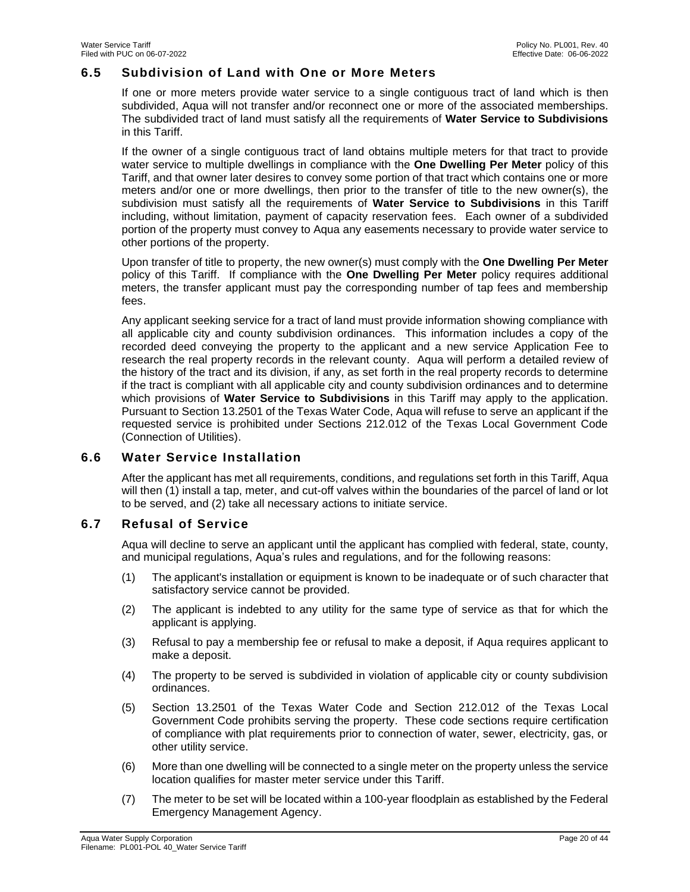### <span id="page-19-0"></span>**6.5 Subdivision of Land with One or More Meters**

If one or more meters provide water service to a single contiguous tract of land which is then subdivided, Aqua will not transfer and/or reconnect one or more of the associated memberships. The subdivided tract of land must satisfy all the requirements of **Water Service to Subdivisions** in this Tariff.

If the owner of a single contiguous tract of land obtains multiple meters for that tract to provide water service to multiple dwellings in compliance with the **One Dwelling Per Meter** policy of this Tariff, and that owner later desires to convey some portion of that tract which contains one or more meters and/or one or more dwellings, then prior to the transfer of title to the new owner(s), the subdivision must satisfy all the requirements of **Water Service to Subdivisions** in this Tariff including, without limitation, payment of capacity reservation fees. Each owner of a subdivided portion of the property must convey to Aqua any easements necessary to provide water service to other portions of the property.

Upon transfer of title to property, the new owner(s) must comply with the **One Dwelling Per Meter**  policy of this Tariff. If compliance with the **One Dwelling Per Meter** policy requires additional meters, the transfer applicant must pay the corresponding number of tap fees and membership fees.

Any applicant seeking service for a tract of land must provide information showing compliance with all applicable city and county subdivision ordinances. This information includes a copy of the recorded deed conveying the property to the applicant and a new service Application Fee to research the real property records in the relevant county. Aqua will perform a detailed review of the history of the tract and its division, if any, as set forth in the real property records to determine if the tract is compliant with all applicable city and county subdivision ordinances and to determine which provisions of **Water Service to Subdivisions** in this Tariff may apply to the application. Pursuant to Section 13.2501 of the Texas Water Code, Aqua will refuse to serve an applicant if the requested service is prohibited under Sections 212.012 of the Texas Local Government Code (Connection of Utilities).

# <span id="page-19-1"></span>**6.6 Water Service Installation**

After the applicant has met all requirements, conditions, and regulations set forth in this Tariff, Aqua will then (1) install a tap, meter, and cut-off valves within the boundaries of the parcel of land or lot to be served, and (2) take all necessary actions to initiate service.

# <span id="page-19-2"></span>**6.7 Refusal of Service**

Aqua will decline to serve an applicant until the applicant has complied with federal, state, county, and municipal regulations, Aqua's rules and regulations, and for the following reasons:

- (1) The applicant's installation or equipment is known to be inadequate or of such character that satisfactory service cannot be provided.
- (2) The applicant is indebted to any utility for the same type of service as that for which the applicant is applying.
- (3) Refusal to pay a membership fee or refusal to make a deposit, if Aqua requires applicant to make a deposit.
- (4) The property to be served is subdivided in violation of applicable city or county subdivision ordinances.
- (5) Section 13.2501 of the Texas Water Code and Section 212.012 of the Texas Local Government Code prohibits serving the property. These code sections require certification of compliance with plat requirements prior to connection of water, sewer, electricity, gas, or other utility service.
- (6) More than one dwelling will be connected to a single meter on the property unless the service location qualifies for master meter service under this Tariff.
- (7) The meter to be set will be located within a 100-year floodplain as established by the Federal Emergency Management Agency.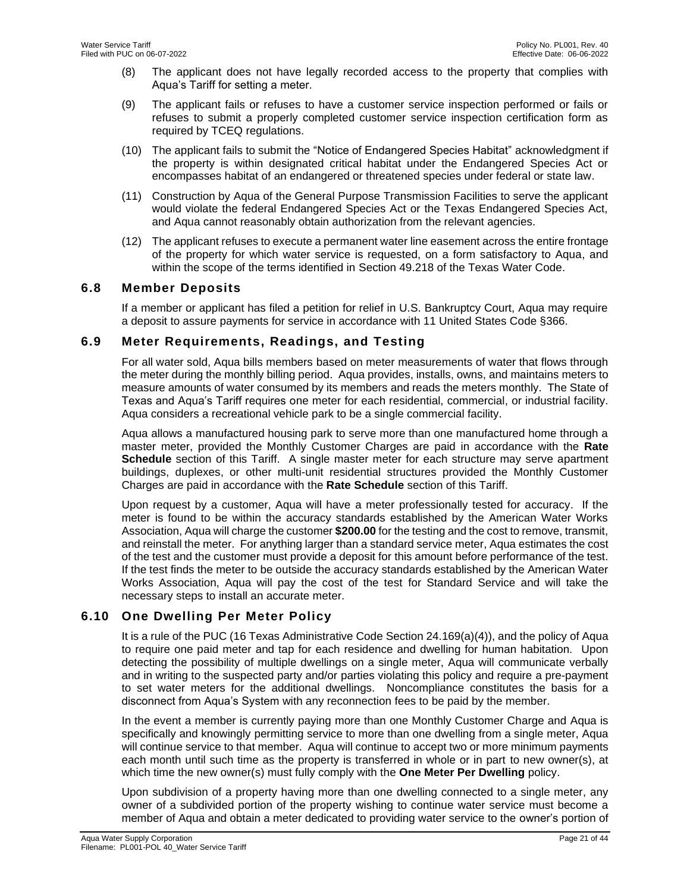- (8) The applicant does not have legally recorded access to the property that complies with Aqua's Tariff for setting a meter.
- (9) The applicant fails or refuses to have a customer service inspection performed or fails or refuses to submit a properly completed customer service inspection certification form as required by TCEQ regulations.
- (10) The applicant fails to submit the "Notice of Endangered Species Habitat" acknowledgment if the property is within designated critical habitat under the Endangered Species Act or encompasses habitat of an endangered or threatened species under federal or state law.
- (11) Construction by Aqua of the General Purpose Transmission Facilities to serve the applicant would violate the federal Endangered Species Act or the Texas Endangered Species Act, and Aqua cannot reasonably obtain authorization from the relevant agencies.
- (12) The applicant refuses to execute a permanent water line easement across the entire frontage of the property for which water service is requested, on a form satisfactory to Aqua, and within the scope of the terms identified in Section 49.218 of the Texas Water Code.

# <span id="page-20-0"></span>**6.8 Member Deposits**

If a member or applicant has filed a petition for relief in U.S. Bankruptcy Court, Aqua may require a deposit to assure payments for service in accordance with 11 United States Code §366.

# <span id="page-20-1"></span>**6.9 Meter Requirements, Readings, and Testing**

For all water sold, Aqua bills members based on meter measurements of water that flows through the meter during the monthly billing period. Aqua provides, installs, owns, and maintains meters to measure amounts of water consumed by its members and reads the meters monthly. The State of Texas and Aqua's Tariff requires one meter for each residential, commercial, or industrial facility. Aqua considers a recreational vehicle park to be a single commercial facility.

Aqua allows a manufactured housing park to serve more than one manufactured home through a master meter, provided the Monthly Customer Charges are paid in accordance with the **Rate Schedule** section of this Tariff. A single master meter for each structure may serve apartment buildings, duplexes, or other multi-unit residential structures provided the Monthly Customer Charges are paid in accordance with the **Rate Schedule** section of this Tariff.

Upon request by a customer, Aqua will have a meter professionally tested for accuracy. If the meter is found to be within the accuracy standards established by the American Water Works Association, Aqua will charge the customer **\$200.00** for the testing and the cost to remove, transmit, and reinstall the meter. For anything larger than a standard service meter, Aqua estimates the cost of the test and the customer must provide a deposit for this amount before performance of the test. If the test finds the meter to be outside the accuracy standards established by the American Water Works Association, Aqua will pay the cost of the test for Standard Service and will take the necessary steps to install an accurate meter.

# <span id="page-20-2"></span>**6.10 One Dwelling Per Meter Policy**

It is a rule of the PUC (16 Texas Administrative Code Section 24.169(a)(4)), and the policy of Aqua to require one paid meter and tap for each residence and dwelling for human habitation. Upon detecting the possibility of multiple dwellings on a single meter, Aqua will communicate verbally and in writing to the suspected party and/or parties violating this policy and require a pre-payment to set water meters for the additional dwellings. Noncompliance constitutes the basis for a disconnect from Aqua's System with any reconnection fees to be paid by the member.

In the event a member is currently paying more than one Monthly Customer Charge and Aqua is specifically and knowingly permitting service to more than one dwelling from a single meter, Aqua will continue service to that member. Aqua will continue to accept two or more minimum payments each month until such time as the property is transferred in whole or in part to new owner(s), at which time the new owner(s) must fully comply with the **One Meter Per Dwelling** policy.

Upon subdivision of a property having more than one dwelling connected to a single meter, any owner of a subdivided portion of the property wishing to continue water service must become a member of Aqua and obtain a meter dedicated to providing water service to the owner's portion of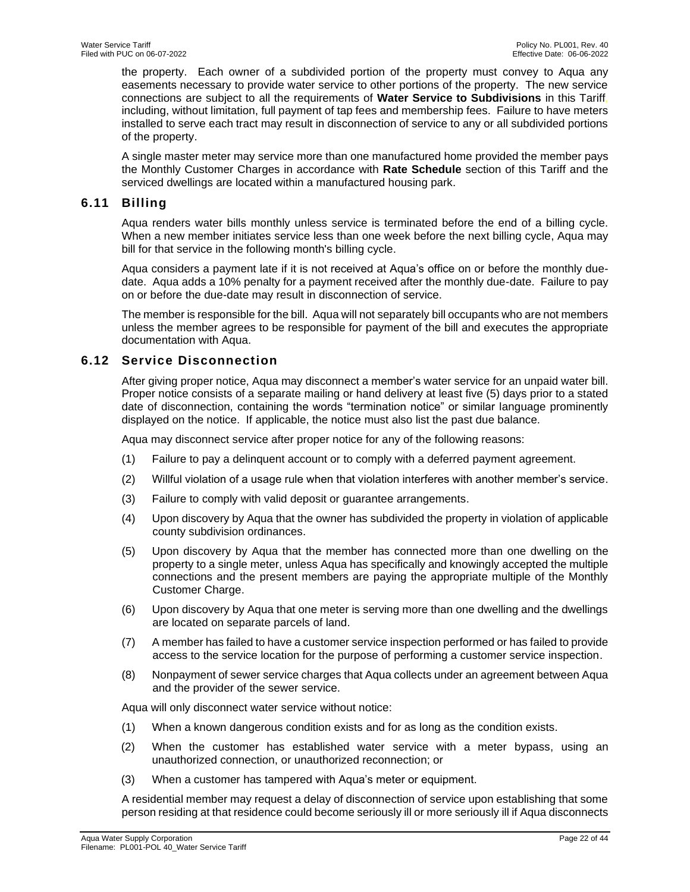the property. Each owner of a subdivided portion of the property must convey to Aqua any easements necessary to provide water service to other portions of the property. The new service connections are subject to all the requirements of **Water Service to Subdivisions** in this Tariff, including, without limitation, full payment of tap fees and membership fees. Failure to have meters installed to serve each tract may result in disconnection of service to any or all subdivided portions of the property.

A single master meter may service more than one manufactured home provided the member pays the Monthly Customer Charges in accordance with **Rate Schedule** section of this Tariff and the serviced dwellings are located within a manufactured housing park.

# <span id="page-21-0"></span>**6.11 Billing**

Aqua renders water bills monthly unless service is terminated before the end of a billing cycle. When a new member initiates service less than one week before the next billing cycle, Aqua may bill for that service in the following month's billing cycle.

Aqua considers a payment late if it is not received at Aqua's office on or before the monthly duedate. Aqua adds a 10% penalty for a payment received after the monthly due-date. Failure to pay on or before the due-date may result in disconnection of service.

The member is responsible for the bill. Aqua will not separately bill occupants who are not members unless the member agrees to be responsible for payment of the bill and executes the appropriate documentation with Aqua.

# <span id="page-21-1"></span>**6.12 Service Disconnection**

After giving proper notice, Aqua may disconnect a member's water service for an unpaid water bill. Proper notice consists of a separate mailing or hand delivery at least five (5) days prior to a stated date of disconnection, containing the words "termination notice" or similar language prominently displayed on the notice. If applicable, the notice must also list the past due balance.

Aqua may disconnect service after proper notice for any of the following reasons:

- (1) Failure to pay a delinquent account or to comply with a deferred payment agreement.
- (2) Willful violation of a usage rule when that violation interferes with another member's service.
- (3) Failure to comply with valid deposit or guarantee arrangements.
- (4) Upon discovery by Aqua that the owner has subdivided the property in violation of applicable county subdivision ordinances.
- (5) Upon discovery by Aqua that the member has connected more than one dwelling on the property to a single meter, unless Aqua has specifically and knowingly accepted the multiple connections and the present members are paying the appropriate multiple of the Monthly Customer Charge.
- (6) Upon discovery by Aqua that one meter is serving more than one dwelling and the dwellings are located on separate parcels of land.
- (7) A member has failed to have a customer service inspection performed or has failed to provide access to the service location for the purpose of performing a customer service inspection.
- (8) Nonpayment of sewer service charges that Aqua collects under an agreement between Aqua and the provider of the sewer service.

Aqua will only disconnect water service without notice:

- (1) When a known dangerous condition exists and for as long as the condition exists.
- (2) When the customer has established water service with a meter bypass, using an unauthorized connection, or unauthorized reconnection; or
- (3) When a customer has tampered with Aqua's meter or equipment.

A residential member may request a delay of disconnection of service upon establishing that some person residing at that residence could become seriously ill or more seriously ill if Aqua disconnects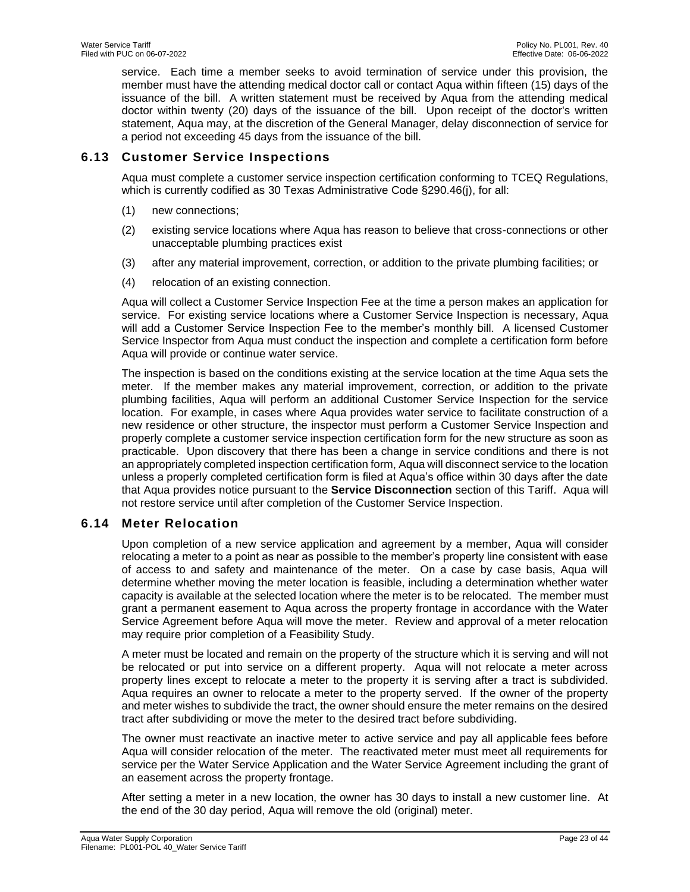service. Each time a member seeks to avoid termination of service under this provision, the member must have the attending medical doctor call or contact Aqua within fifteen (15) days of the issuance of the bill. A written statement must be received by Aqua from the attending medical doctor within twenty (20) days of the issuance of the bill. Upon receipt of the doctor's written statement, Aqua may, at the discretion of the General Manager, delay disconnection of service for a period not exceeding 45 days from the issuance of the bill.

# <span id="page-22-0"></span>**6.13 Customer Service Inspections**

Aqua must complete a customer service inspection certification conforming to TCEQ Regulations, which is currently codified as 30 Texas Administrative Code §290.46(j), for all:

- (1) new connections;
- (2) existing service locations where Aqua has reason to believe that cross-connections or other unacceptable plumbing practices exist
- (3) after any material improvement, correction, or addition to the private plumbing facilities; or
- (4) relocation of an existing connection.

Aqua will collect a Customer Service Inspection Fee at the time a person makes an application for service. For existing service locations where a Customer Service Inspection is necessary, Aqua will add a Customer Service Inspection Fee to the member's monthly bill. A licensed Customer Service Inspector from Aqua must conduct the inspection and complete a certification form before Aqua will provide or continue water service.

The inspection is based on the conditions existing at the service location at the time Aqua sets the meter. If the member makes any material improvement, correction, or addition to the private plumbing facilities, Aqua will perform an additional Customer Service Inspection for the service location. For example, in cases where Aqua provides water service to facilitate construction of a new residence or other structure, the inspector must perform a Customer Service Inspection and properly complete a customer service inspection certification form for the new structure as soon as practicable. Upon discovery that there has been a change in service conditions and there is not an appropriately completed inspection certification form, Aqua will disconnect service to the location unless a properly completed certification form is filed at Aqua's office within 30 days after the date that Aqua provides notice pursuant to the **Service Disconnection** section of this Tariff. Aqua will not restore service until after completion of the Customer Service Inspection.

# <span id="page-22-1"></span>**6.14 Meter Relocation**

Upon completion of a new service application and agreement by a member, Aqua will consider relocating a meter to a point as near as possible to the member's property line consistent with ease of access to and safety and maintenance of the meter. On a case by case basis, Aqua will determine whether moving the meter location is feasible, including a determination whether water capacity is available at the selected location where the meter is to be relocated. The member must grant a permanent easement to Aqua across the property frontage in accordance with the Water Service Agreement before Aqua will move the meter. Review and approval of a meter relocation may require prior completion of a Feasibility Study.

A meter must be located and remain on the property of the structure which it is serving and will not be relocated or put into service on a different property. Aqua will not relocate a meter across property lines except to relocate a meter to the property it is serving after a tract is subdivided. Aqua requires an owner to relocate a meter to the property served. If the owner of the property and meter wishes to subdivide the tract, the owner should ensure the meter remains on the desired tract after subdividing or move the meter to the desired tract before subdividing.

The owner must reactivate an inactive meter to active service and pay all applicable fees before Aqua will consider relocation of the meter. The reactivated meter must meet all requirements for service per the Water Service Application and the Water Service Agreement including the grant of an easement across the property frontage.

After setting a meter in a new location, the owner has 30 days to install a new customer line. At the end of the 30 day period, Aqua will remove the old (original) meter.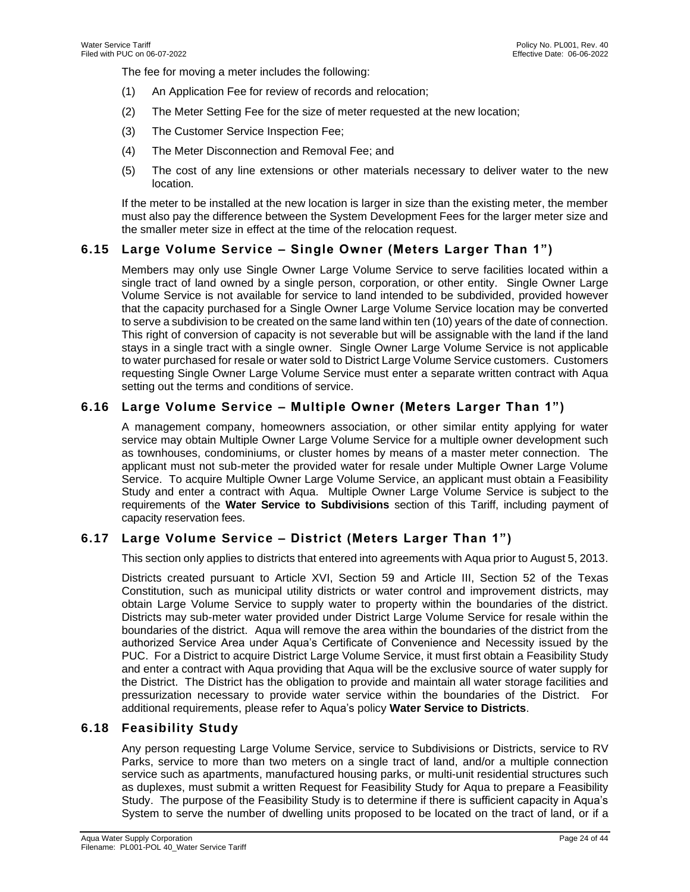The fee for moving a meter includes the following:

- (1) An Application Fee for review of records and relocation;
- (2) The Meter Setting Fee for the size of meter requested at the new location;
- (3) The Customer Service Inspection Fee;
- (4) The Meter Disconnection and Removal Fee; and
- (5) The cost of any line extensions or other materials necessary to deliver water to the new location.

If the meter to be installed at the new location is larger in size than the existing meter, the member must also pay the difference between the System Development Fees for the larger meter size and the smaller meter size in effect at the time of the relocation request.

# <span id="page-23-0"></span>**6.15 Large Volume Service – Single Owner (Meters Larger Than 1")**

Members may only use Single Owner Large Volume Service to serve facilities located within a single tract of land owned by a single person, corporation, or other entity. Single Owner Large Volume Service is not available for service to land intended to be subdivided, provided however that the capacity purchased for a Single Owner Large Volume Service location may be converted to serve a subdivision to be created on the same land within ten (10) years of the date of connection. This right of conversion of capacity is not severable but will be assignable with the land if the land stays in a single tract with a single owner. Single Owner Large Volume Service is not applicable to water purchased for resale or water sold to District Large Volume Service customers. Customers requesting Single Owner Large Volume Service must enter a separate written contract with Aqua setting out the terms and conditions of service.

# <span id="page-23-1"></span>**6.16 Large Volume Service – Multiple Owner (Meters Larger Than 1")**

A management company, homeowners association, or other similar entity applying for water service may obtain Multiple Owner Large Volume Service for a multiple owner development such as townhouses, condominiums, or cluster homes by means of a master meter connection. The applicant must not sub-meter the provided water for resale under Multiple Owner Large Volume Service. To acquire Multiple Owner Large Volume Service, an applicant must obtain a Feasibility Study and enter a contract with Aqua. Multiple Owner Large Volume Service is subject to the requirements of the **Water Service to Subdivisions** section of this Tariff, including payment of capacity reservation fees.

# <span id="page-23-2"></span>**6.17 Large Volume Service – District (Meters Larger Than 1")**

This section only applies to districts that entered into agreements with Aqua prior to August 5, 2013.

Districts created pursuant to Article XVI, Section 59 and Article III, Section 52 of the Texas Constitution, such as municipal utility districts or water control and improvement districts, may obtain Large Volume Service to supply water to property within the boundaries of the district. Districts may sub-meter water provided under District Large Volume Service for resale within the boundaries of the district. Aqua will remove the area within the boundaries of the district from the authorized Service Area under Aqua's Certificate of Convenience and Necessity issued by the PUC. For a District to acquire District Large Volume Service, it must first obtain a Feasibility Study and enter a contract with Aqua providing that Aqua will be the exclusive source of water supply for the District. The District has the obligation to provide and maintain all water storage facilities and pressurization necessary to provide water service within the boundaries of the District. For additional requirements, please refer to Aqua's policy **Water Service to Districts**.

# <span id="page-23-3"></span>**6.18 Feasibility Study**

Any person requesting Large Volume Service, service to Subdivisions or Districts, service to RV Parks, service to more than two meters on a single tract of land, and/or a multiple connection service such as apartments, manufactured housing parks, or multi-unit residential structures such as duplexes, must submit a written Request for Feasibility Study for Aqua to prepare a Feasibility Study. The purpose of the Feasibility Study is to determine if there is sufficient capacity in Aqua's System to serve the number of dwelling units proposed to be located on the tract of land, or if a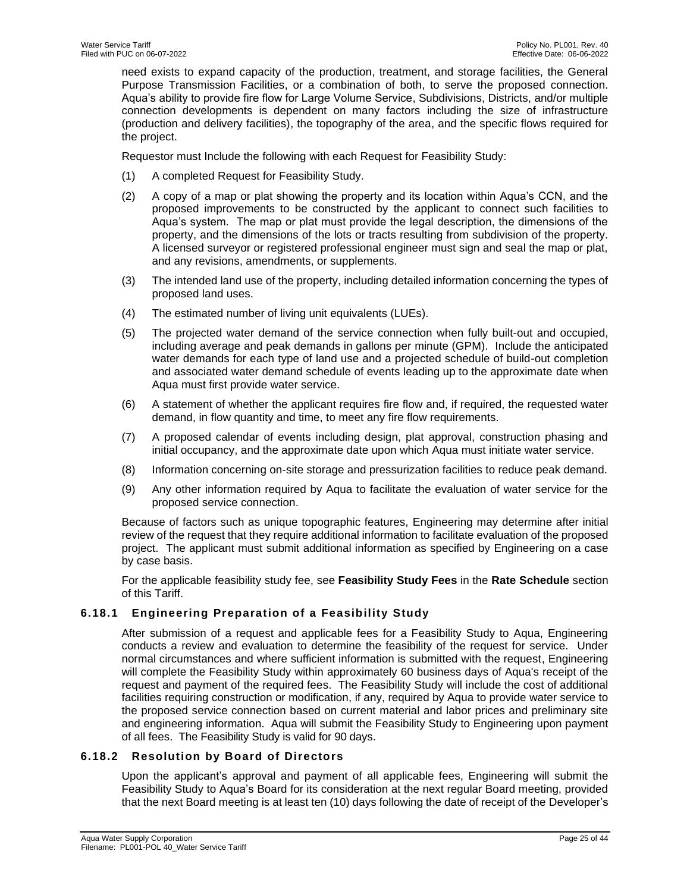need exists to expand capacity of the production, treatment, and storage facilities, the General Purpose Transmission Facilities, or a combination of both, to serve the proposed connection. Aqua's ability to provide fire flow for Large Volume Service, Subdivisions, Districts, and/or multiple connection developments is dependent on many factors including the size of infrastructure (production and delivery facilities), the topography of the area, and the specific flows required for the project.

Requestor must Include the following with each Request for Feasibility Study:

- (1) A completed Request for Feasibility Study.
- (2) A copy of a map or plat showing the property and its location within Aqua's CCN, and the proposed improvements to be constructed by the applicant to connect such facilities to Aqua's system. The map or plat must provide the legal description, the dimensions of the property, and the dimensions of the lots or tracts resulting from subdivision of the property. A licensed surveyor or registered professional engineer must sign and seal the map or plat, and any revisions, amendments, or supplements.
- (3) The intended land use of the property, including detailed information concerning the types of proposed land uses.
- (4) The estimated number of living unit equivalents (LUEs).
- (5) The projected water demand of the service connection when fully built-out and occupied, including average and peak demands in gallons per minute (GPM). Include the anticipated water demands for each type of land use and a projected schedule of build-out completion and associated water demand schedule of events leading up to the approximate date when Aqua must first provide water service.
- (6) A statement of whether the applicant requires fire flow and, if required, the requested water demand, in flow quantity and time, to meet any fire flow requirements.
- (7) A proposed calendar of events including design, plat approval, construction phasing and initial occupancy, and the approximate date upon which Aqua must initiate water service.
- (8) Information concerning on-site storage and pressurization facilities to reduce peak demand.
- (9) Any other information required by Aqua to facilitate the evaluation of water service for the proposed service connection.

Because of factors such as unique topographic features, Engineering may determine after initial review of the request that they require additional information to facilitate evaluation of the proposed project. The applicant must submit additional information as specified by Engineering on a case by case basis.

For the applicable feasibility study fee, see **Feasibility Study Fees** in the **Rate Schedule** section of this Tariff.

# <span id="page-24-0"></span>**6.18.1 Engineering Preparation of a Feasibility Study**

After submission of a request and applicable fees for a Feasibility Study to Aqua, Engineering conducts a review and evaluation to determine the feasibility of the request for service. Under normal circumstances and where sufficient information is submitted with the request, Engineering will complete the Feasibility Study within approximately 60 business days of Aqua's receipt of the request and payment of the required fees. The Feasibility Study will include the cost of additional facilities requiring construction or modification, if any, required by Aqua to provide water service to the proposed service connection based on current material and labor prices and preliminary site and engineering information. Aqua will submit the Feasibility Study to Engineering upon payment of all fees. The Feasibility Study is valid for 90 days.

# <span id="page-24-1"></span>**6.18.2 Resolution by Board of Directors**

Upon the applicant's approval and payment of all applicable fees, Engineering will submit the Feasibility Study to Aqua's Board for its consideration at the next regular Board meeting, provided that the next Board meeting is at least ten (10) days following the date of receipt of the Developer's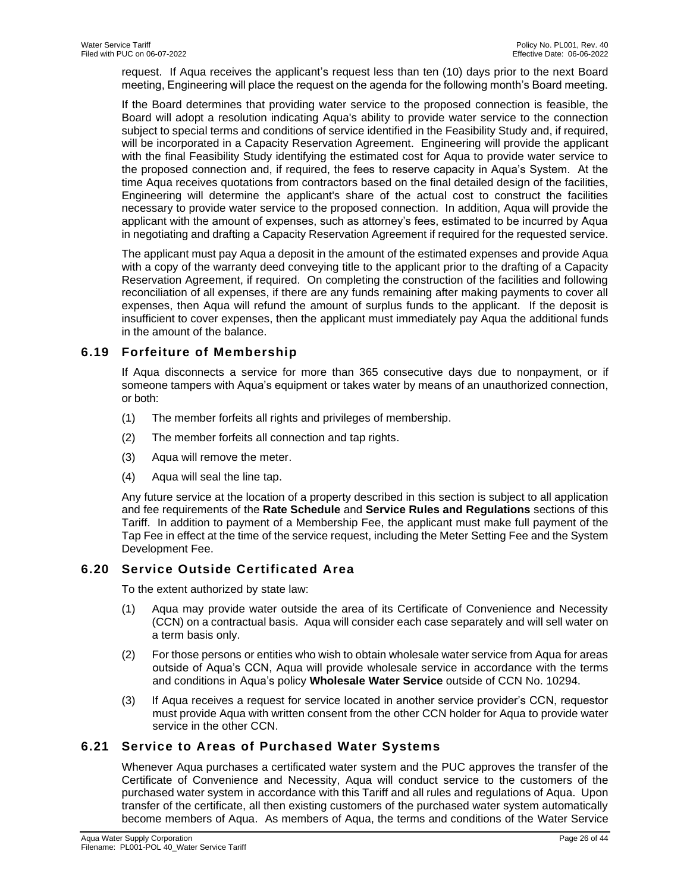request. If Aqua receives the applicant's request less than ten (10) days prior to the next Board meeting, Engineering will place the request on the agenda for the following month's Board meeting.

If the Board determines that providing water service to the proposed connection is feasible, the Board will adopt a resolution indicating Aqua's ability to provide water service to the connection subject to special terms and conditions of service identified in the Feasibility Study and, if required, will be incorporated in a Capacity Reservation Agreement. Engineering will provide the applicant with the final Feasibility Study identifying the estimated cost for Aqua to provide water service to the proposed connection and, if required, the fees to reserve capacity in Aqua's System. At the time Aqua receives quotations from contractors based on the final detailed design of the facilities, Engineering will determine the applicant's share of the actual cost to construct the facilities necessary to provide water service to the proposed connection. In addition, Aqua will provide the applicant with the amount of expenses, such as attorney's fees, estimated to be incurred by Aqua in negotiating and drafting a Capacity Reservation Agreement if required for the requested service.

The applicant must pay Aqua a deposit in the amount of the estimated expenses and provide Aqua with a copy of the warranty deed conveying title to the applicant prior to the drafting of a Capacity Reservation Agreement, if required. On completing the construction of the facilities and following reconciliation of all expenses, if there are any funds remaining after making payments to cover all expenses, then Aqua will refund the amount of surplus funds to the applicant. If the deposit is insufficient to cover expenses, then the applicant must immediately pay Aqua the additional funds in the amount of the balance.

# <span id="page-25-0"></span>**6.19 Forfeiture of Membership**

If Aqua disconnects a service for more than 365 consecutive days due to nonpayment, or if someone tampers with Aqua's equipment or takes water by means of an unauthorized connection, or both:

- (1) The member forfeits all rights and privileges of membership.
- (2) The member forfeits all connection and tap rights.
- (3) Aqua will remove the meter.
- (4) Aqua will seal the line tap.

Any future service at the location of a property described in this section is subject to all application and fee requirements of the **Rate Schedule** and **Service Rules and Regulations** sections of this Tariff. In addition to payment of a Membership Fee, the applicant must make full payment of the Tap Fee in effect at the time of the service request, including the Meter Setting Fee and the System Development Fee.

# <span id="page-25-1"></span>**6.20 Service Outside Certificated Area**

To the extent authorized by state law:

- (1) Aqua may provide water outside the area of its Certificate of Convenience and Necessity (CCN) on a contractual basis. Aqua will consider each case separately and will sell water on a term basis only.
- (2) For those persons or entities who wish to obtain wholesale water service from Aqua for areas outside of Aqua's CCN, Aqua will provide wholesale service in accordance with the terms and conditions in Aqua's policy **Wholesale Water Service** outside of CCN No. 10294.
- (3) If Aqua receives a request for service located in another service provider's CCN, requestor must provide Aqua with written consent from the other CCN holder for Aqua to provide water service in the other CCN.

# <span id="page-25-2"></span>**6.21 Service to Areas of Purchased Water Systems**

Whenever Aqua purchases a certificated water system and the PUC approves the transfer of the Certificate of Convenience and Necessity, Aqua will conduct service to the customers of the purchased water system in accordance with this Tariff and all rules and regulations of Aqua. Upon transfer of the certificate, all then existing customers of the purchased water system automatically become members of Aqua. As members of Aqua, the terms and conditions of the Water Service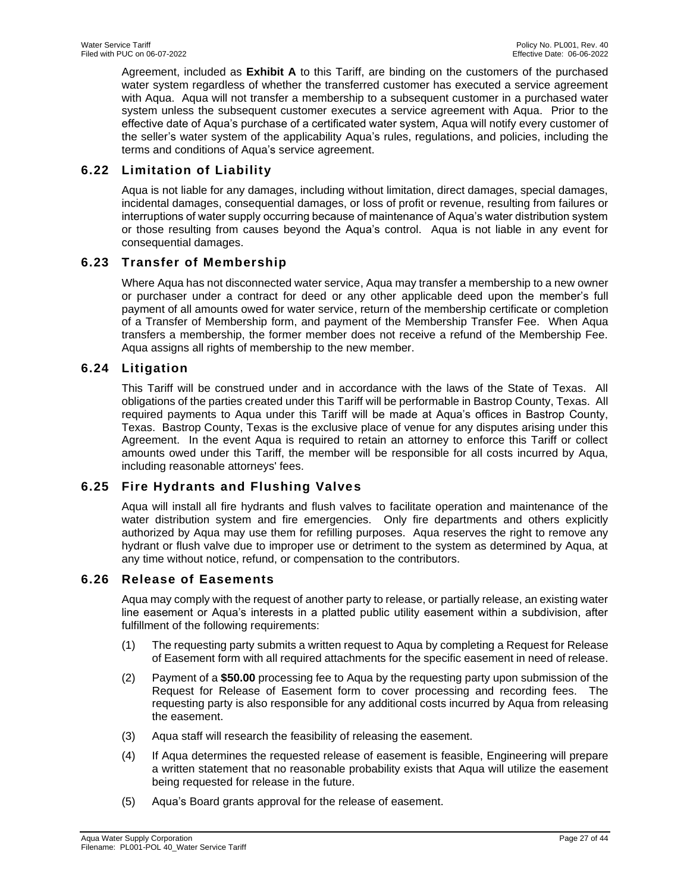Agreement, included as **Exhibit A** to this Tariff, are binding on the customers of the purchased water system regardless of whether the transferred customer has executed a service agreement with Aqua. Aqua will not transfer a membership to a subsequent customer in a purchased water system unless the subsequent customer executes a service agreement with Aqua. Prior to the effective date of Aqua's purchase of a certificated water system, Aqua will notify every customer of the seller's water system of the applicability Aqua's rules, regulations, and policies, including the terms and conditions of Aqua's service agreement.

# <span id="page-26-0"></span>**6.22 Limitation of Liability**

Aqua is not liable for any damages, including without limitation, direct damages, special damages, incidental damages, consequential damages, or loss of profit or revenue, resulting from failures or interruptions of water supply occurring because of maintenance of Aqua's water distribution system or those resulting from causes beyond the Aqua's control. Aqua is not liable in any event for consequential damages.

# <span id="page-26-1"></span>**6.23 Transfer of Membership**

Where Aqua has not disconnected water service, Aqua may transfer a membership to a new owner or purchaser under a contract for deed or any other applicable deed upon the member's full payment of all amounts owed for water service, return of the membership certificate or completion of a Transfer of Membership form, and payment of the Membership Transfer Fee. When Aqua transfers a membership, the former member does not receive a refund of the Membership Fee. Aqua assigns all rights of membership to the new member.

# <span id="page-26-2"></span>**6.24 Litigation**

This Tariff will be construed under and in accordance with the laws of the State of Texas. All obligations of the parties created under this Tariff will be performable in Bastrop County, Texas. All required payments to Aqua under this Tariff will be made at Aqua's offices in Bastrop County, Texas. Bastrop County, Texas is the exclusive place of venue for any disputes arising under this Agreement. In the event Aqua is required to retain an attorney to enforce this Tariff or collect amounts owed under this Tariff, the member will be responsible for all costs incurred by Aqua, including reasonable attorneys' fees.

# <span id="page-26-3"></span>**6.25 Fire Hydrants and Flushing Valves**

Aqua will install all fire hydrants and flush valves to facilitate operation and maintenance of the water distribution system and fire emergencies. Only fire departments and others explicitly authorized by Aqua may use them for refilling purposes. Aqua reserves the right to remove any hydrant or flush valve due to improper use or detriment to the system as determined by Aqua, at any time without notice, refund, or compensation to the contributors.

# <span id="page-26-4"></span>**6.26 Release of Easements**

Aqua may comply with the request of another party to release, or partially release, an existing water line easement or Aqua's interests in a platted public utility easement within a subdivision, after fulfillment of the following requirements:

- (1) The requesting party submits a written request to Aqua by completing a Request for Release of Easement form with all required attachments for the specific easement in need of release.
- (2) Payment of a **\$50.00** processing fee to Aqua by the requesting party upon submission of the Request for Release of Easement form to cover processing and recording fees. The requesting party is also responsible for any additional costs incurred by Aqua from releasing the easement.
- (3) Aqua staff will research the feasibility of releasing the easement.
- (4) If Aqua determines the requested release of easement is feasible, Engineering will prepare a written statement that no reasonable probability exists that Aqua will utilize the easement being requested for release in the future.
- (5) Aqua's Board grants approval for the release of easement.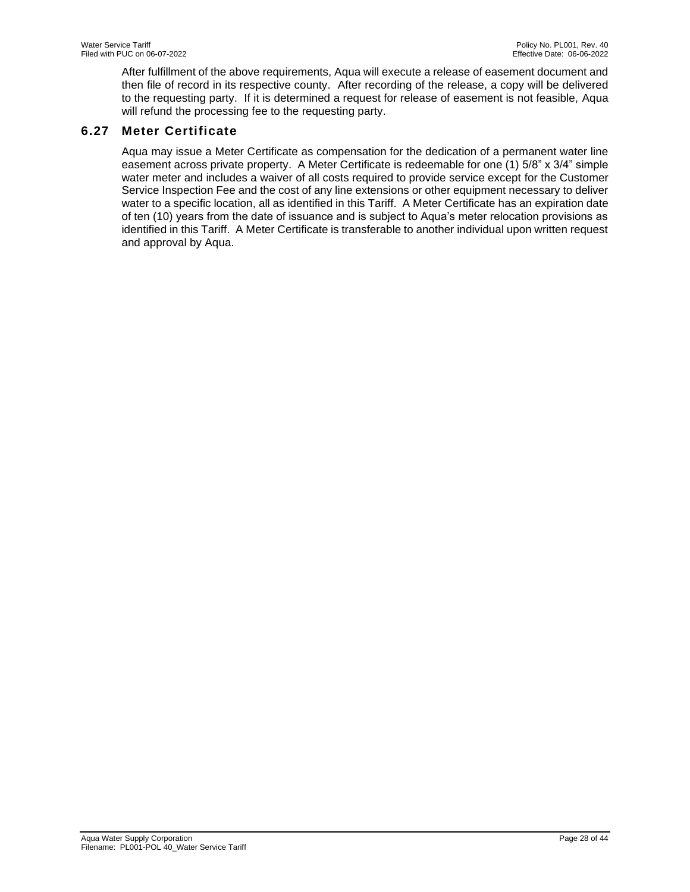After fulfillment of the above requirements, Aqua will execute a release of easement document and then file of record in its respective county. After recording of the release, a copy will be delivered to the requesting party. If it is determined a request for release of easement is not feasible, Aqua will refund the processing fee to the requesting party.

# <span id="page-27-0"></span>**6.27 Meter Certificate**

Aqua may issue a Meter Certificate as compensation for the dedication of a permanent water line easement across private property. A Meter Certificate is redeemable for one (1) 5/8" x 3/4" simple water meter and includes a waiver of all costs required to provide service except for the Customer Service Inspection Fee and the cost of any line extensions or other equipment necessary to deliver water to a specific location, all as identified in this Tariff. A Meter Certificate has an expiration date of ten (10) years from the date of issuance and is subject to Aqua's meter relocation provisions as identified in this Tariff. A Meter Certificate is transferable to another individual upon written request and approval by Aqua.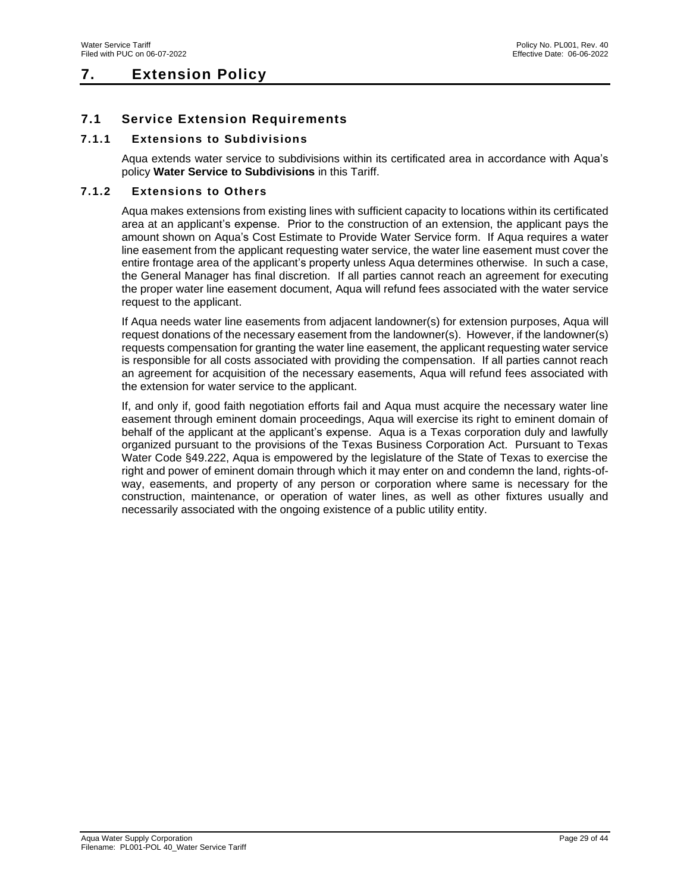# <span id="page-28-0"></span>**7. Extension Policy**

# <span id="page-28-1"></span>**7.1 Service Extension Requirements**

# <span id="page-28-2"></span>**7.1.1 Extensions to Subdivisions**

Aqua extends water service to subdivisions within its certificated area in accordance with Aqua's policy **Water Service to Subdivisions** in this Tariff.

#### <span id="page-28-3"></span>**7.1.2 Extensions to Others**

Aqua makes extensions from existing lines with sufficient capacity to locations within its certificated area at an applicant's expense. Prior to the construction of an extension, the applicant pays the amount shown on Aqua's Cost Estimate to Provide Water Service form. If Aqua requires a water line easement from the applicant requesting water service, the water line easement must cover the entire frontage area of the applicant's property unless Aqua determines otherwise. In such a case, the General Manager has final discretion. If all parties cannot reach an agreement for executing the proper water line easement document, Aqua will refund fees associated with the water service request to the applicant.

If Aqua needs water line easements from adjacent landowner(s) for extension purposes, Aqua will request donations of the necessary easement from the landowner(s). However, if the landowner(s) requests compensation for granting the water line easement, the applicant requesting water service is responsible for all costs associated with providing the compensation. If all parties cannot reach an agreement for acquisition of the necessary easements, Aqua will refund fees associated with the extension for water service to the applicant.

If, and only if, good faith negotiation efforts fail and Aqua must acquire the necessary water line easement through eminent domain proceedings, Aqua will exercise its right to eminent domain of behalf of the applicant at the applicant's expense. Aqua is a Texas corporation duly and lawfully organized pursuant to the provisions of the Texas Business Corporation Act. Pursuant to Texas Water Code §49.222, Aqua is empowered by the legislature of the State of Texas to exercise the right and power of eminent domain through which it may enter on and condemn the land, rights-ofway, easements, and property of any person or corporation where same is necessary for the construction, maintenance, or operation of water lines, as well as other fixtures usually and necessarily associated with the ongoing existence of a public utility entity.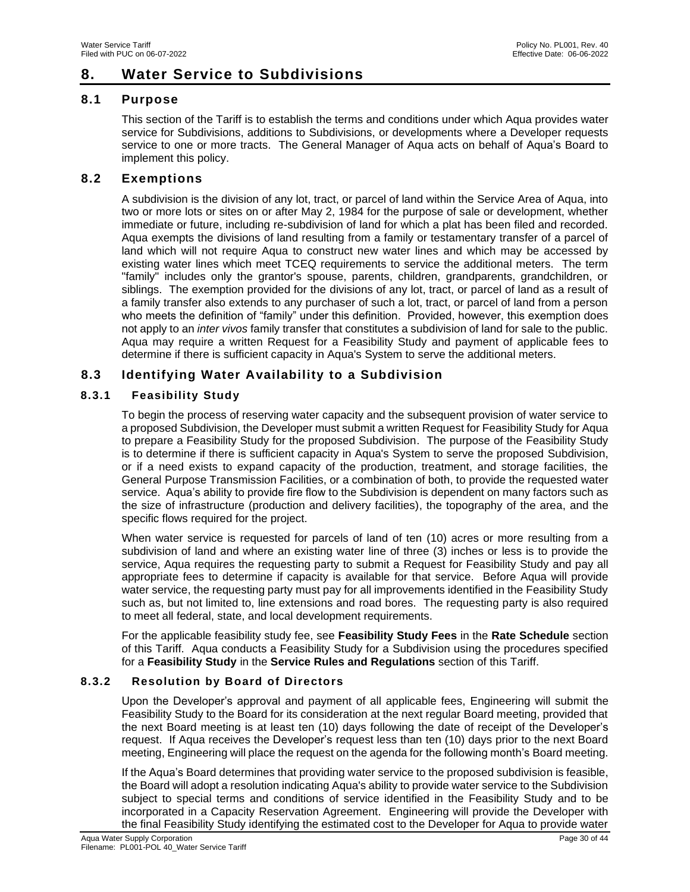# <span id="page-29-0"></span>**8. Water Service to Subdivisions**

# <span id="page-29-1"></span>**8.1 Purpose**

This section of the Tariff is to establish the terms and conditions under which Aqua provides water service for Subdivisions, additions to Subdivisions, or developments where a Developer requests service to one or more tracts. The General Manager of Aqua acts on behalf of Aqua's Board to implement this policy.

# <span id="page-29-2"></span>**8.2 Exemptions**

A subdivision is the division of any lot, tract, or parcel of land within the Service Area of Aqua, into two or more lots or sites on or after May 2, 1984 for the purpose of sale or development, whether immediate or future, including re-subdivision of land for which a plat has been filed and recorded. Aqua exempts the divisions of land resulting from a family or testamentary transfer of a parcel of land which will not require Aqua to construct new water lines and which may be accessed by existing water lines which meet TCEQ requirements to service the additional meters. The term "family" includes only the grantor's spouse, parents, children, grandparents, grandchildren, or siblings. The exemption provided for the divisions of any lot, tract, or parcel of land as a result of a family transfer also extends to any purchaser of such a lot, tract, or parcel of land from a person who meets the definition of "family" under this definition. Provided, however, this exemption does not apply to an *inter vivos* family transfer that constitutes a subdivision of land for sale to the public. Aqua may require a written Request for a Feasibility Study and payment of applicable fees to determine if there is sufficient capacity in Aqua's System to serve the additional meters.

# <span id="page-29-3"></span>**8.3 Identifying Water Availability to a Subdivision**

# <span id="page-29-4"></span>**8.3.1 Feasibility Study**

To begin the process of reserving water capacity and the subsequent provision of water service to a proposed Subdivision, the Developer must submit a written Request for Feasibility Study for Aqua to prepare a Feasibility Study for the proposed Subdivision. The purpose of the Feasibility Study is to determine if there is sufficient capacity in Aqua's System to serve the proposed Subdivision, or if a need exists to expand capacity of the production, treatment, and storage facilities, the General Purpose Transmission Facilities, or a combination of both, to provide the requested water service. Aqua's ability to provide fire flow to the Subdivision is dependent on many factors such as the size of infrastructure (production and delivery facilities), the topography of the area, and the specific flows required for the project.

When water service is requested for parcels of land of ten (10) acres or more resulting from a subdivision of land and where an existing water line of three (3) inches or less is to provide the service, Aqua requires the requesting party to submit a Request for Feasibility Study and pay all appropriate fees to determine if capacity is available for that service. Before Aqua will provide water service, the requesting party must pay for all improvements identified in the Feasibility Study such as, but not limited to, line extensions and road bores. The requesting party is also required to meet all federal, state, and local development requirements.

For the applicable feasibility study fee, see **Feasibility Study Fees** in the **Rate Schedule** section of this Tariff. Aqua conducts a Feasibility Study for a Subdivision using the procedures specified for a **Feasibility Study** in the **Service Rules and Regulations** section of this Tariff.

# <span id="page-29-5"></span>**8.3.2 Resolution by Board of Directors**

Upon the Developer's approval and payment of all applicable fees, Engineering will submit the Feasibility Study to the Board for its consideration at the next regular Board meeting, provided that the next Board meeting is at least ten (10) days following the date of receipt of the Developer's request. If Aqua receives the Developer's request less than ten (10) days prior to the next Board meeting, Engineering will place the request on the agenda for the following month's Board meeting.

If the Aqua's Board determines that providing water service to the proposed subdivision is feasible, the Board will adopt a resolution indicating Aqua's ability to provide water service to the Subdivision subject to special terms and conditions of service identified in the Feasibility Study and to be incorporated in a Capacity Reservation Agreement. Engineering will provide the Developer with the final Feasibility Study identifying the estimated cost to the Developer for Aqua to provide water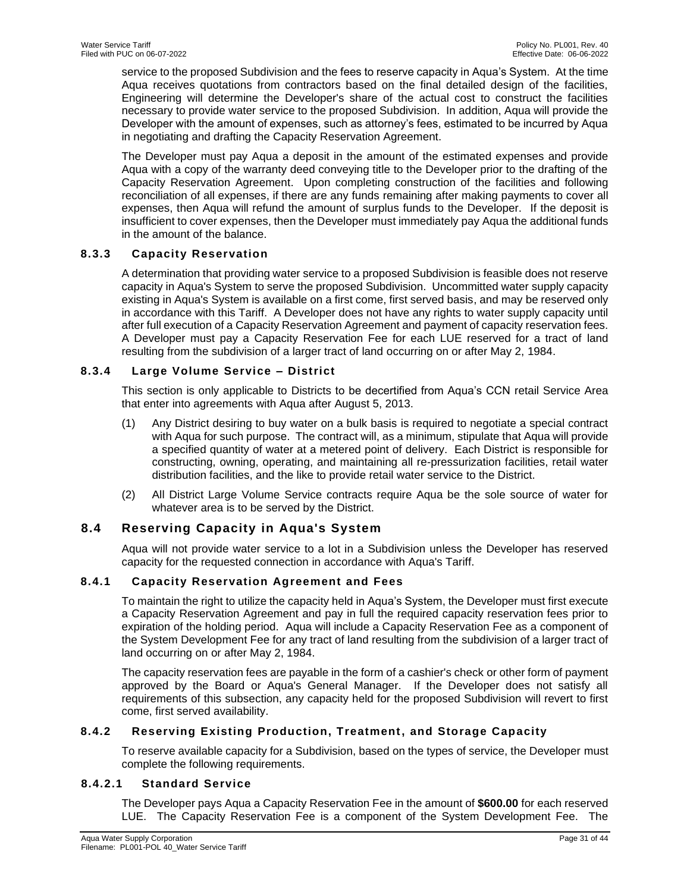service to the proposed Subdivision and the fees to reserve capacity in Aqua's System. At the time Aqua receives quotations from contractors based on the final detailed design of the facilities, Engineering will determine the Developer's share of the actual cost to construct the facilities necessary to provide water service to the proposed Subdivision. In addition, Aqua will provide the Developer with the amount of expenses, such as attorney's fees, estimated to be incurred by Aqua in negotiating and drafting the Capacity Reservation Agreement.

The Developer must pay Aqua a deposit in the amount of the estimated expenses and provide Aqua with a copy of the warranty deed conveying title to the Developer prior to the drafting of the Capacity Reservation Agreement. Upon completing construction of the facilities and following reconciliation of all expenses, if there are any funds remaining after making payments to cover all expenses, then Aqua will refund the amount of surplus funds to the Developer. If the deposit is insufficient to cover expenses, then the Developer must immediately pay Aqua the additional funds in the amount of the balance.

# <span id="page-30-0"></span>**8.3.3 Capacity Reservation**

A determination that providing water service to a proposed Subdivision is feasible does not reserve capacity in Aqua's System to serve the proposed Subdivision. Uncommitted water supply capacity existing in Aqua's System is available on a first come, first served basis, and may be reserved only in accordance with this Tariff. A Developer does not have any rights to water supply capacity until after full execution of a Capacity Reservation Agreement and payment of capacity reservation fees. A Developer must pay a Capacity Reservation Fee for each LUE reserved for a tract of land resulting from the subdivision of a larger tract of land occurring on or after May 2, 1984.

# <span id="page-30-1"></span>**8.3.4 Large Volume Service – District**

This section is only applicable to Districts to be decertified from Aqua's CCN retail Service Area that enter into agreements with Aqua after August 5, 2013.

- (1) Any District desiring to buy water on a bulk basis is required to negotiate a special contract with Aqua for such purpose. The contract will, as a minimum, stipulate that Aqua will provide a specified quantity of water at a metered point of delivery. Each District is responsible for constructing, owning, operating, and maintaining all re-pressurization facilities, retail water distribution facilities, and the like to provide retail water service to the District.
- (2) All District Large Volume Service contracts require Aqua be the sole source of water for whatever area is to be served by the District.

# <span id="page-30-2"></span>**8.4 Reserving Capacity in Aqua's System**

Aqua will not provide water service to a lot in a Subdivision unless the Developer has reserved capacity for the requested connection in accordance with Aqua's Tariff.

# <span id="page-30-3"></span>**8.4.1 Capacity Reservation Agreement and Fees**

To maintain the right to utilize the capacity held in Aqua's System, the Developer must first execute a Capacity Reservation Agreement and pay in full the required capacity reservation fees prior to expiration of the holding period. Aqua will include a Capacity Reservation Fee as a component of the System Development Fee for any tract of land resulting from the subdivision of a larger tract of land occurring on or after May 2, 1984.

The capacity reservation fees are payable in the form of a cashier's check or other form of payment approved by the Board or Aqua's General Manager. If the Developer does not satisfy all requirements of this subsection, any capacity held for the proposed Subdivision will revert to first come, first served availability.

# <span id="page-30-4"></span>**8.4.2 Reserving Existing Production, Treatment, and Storage Capacity**

To reserve available capacity for a Subdivision, based on the types of service, the Developer must complete the following requirements.

# **8.4.2.1 Standard Service**

The Developer pays Aqua a Capacity Reservation Fee in the amount of **\$600.00** for each reserved LUE. The Capacity Reservation Fee is a component of the System Development Fee. The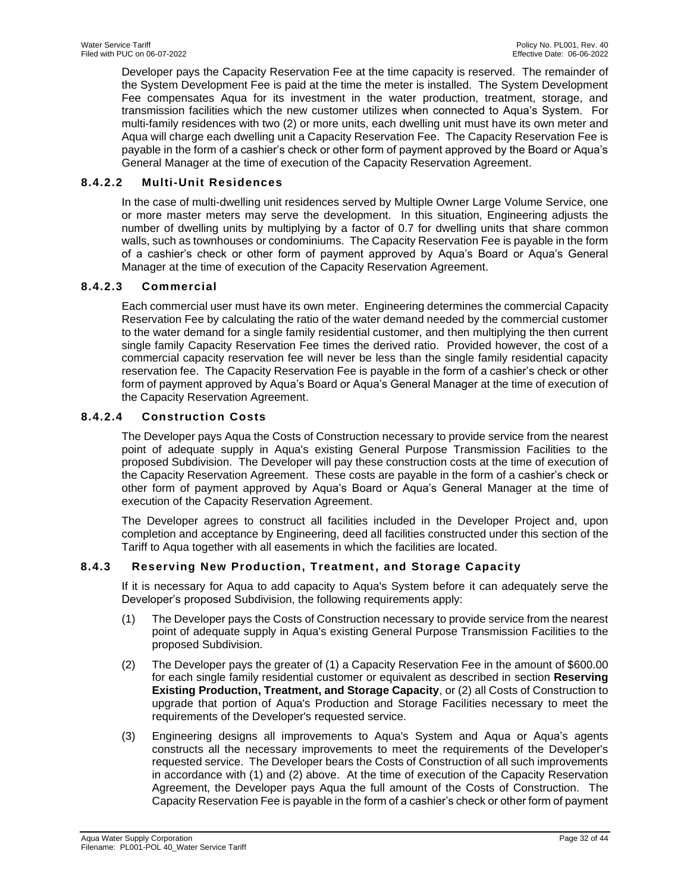Developer pays the Capacity Reservation Fee at the time capacity is reserved. The remainder of the System Development Fee is paid at the time the meter is installed. The System Development Fee compensates Aqua for its investment in the water production, treatment, storage, and transmission facilities which the new customer utilizes when connected to Aqua's System. For multi-family residences with two (2) or more units, each dwelling unit must have its own meter and Aqua will charge each dwelling unit a Capacity Reservation Fee. The Capacity Reservation Fee is payable in the form of a cashier's check or other form of payment approved by the Board or Aqua's General Manager at the time of execution of the Capacity Reservation Agreement.

# **8.4.2.2 Multi-Unit Residences**

In the case of multi-dwelling unit residences served by Multiple Owner Large Volume Service, one or more master meters may serve the development. In this situation, Engineering adjusts the number of dwelling units by multiplying by a factor of 0.7 for dwelling units that share common walls, such as townhouses or condominiums. The Capacity Reservation Fee is payable in the form of a cashier's check or other form of payment approved by Aqua's Board or Aqua's General Manager at the time of execution of the Capacity Reservation Agreement.

# **8.4.2.3 Commercial**

Each commercial user must have its own meter. Engineering determines the commercial Capacity Reservation Fee by calculating the ratio of the water demand needed by the commercial customer to the water demand for a single family residential customer, and then multiplying the then current single family Capacity Reservation Fee times the derived ratio. Provided however, the cost of a commercial capacity reservation fee will never be less than the single family residential capacity reservation fee. The Capacity Reservation Fee is payable in the form of a cashier's check or other form of payment approved by Aqua's Board or Aqua's General Manager at the time of execution of the Capacity Reservation Agreement.

# **8.4.2.4 Construction Costs**

The Developer pays Aqua the Costs of Construction necessary to provide service from the nearest point of adequate supply in Aqua's existing General Purpose Transmission Facilities to the proposed Subdivision. The Developer will pay these construction costs at the time of execution of the Capacity Reservation Agreement. These costs are payable in the form of a cashier's check or other form of payment approved by Aqua's Board or Aqua's General Manager at the time of execution of the Capacity Reservation Agreement.

The Developer agrees to construct all facilities included in the Developer Project and, upon completion and acceptance by Engineering, deed all facilities constructed under this section of the Tariff to Aqua together with all easements in which the facilities are located.

# <span id="page-31-0"></span>**8.4.3 Reserving New Production, Treatment, and Storage Capacity**

If it is necessary for Aqua to add capacity to Aqua's System before it can adequately serve the Developer's proposed Subdivision, the following requirements apply:

- (1) The Developer pays the Costs of Construction necessary to provide service from the nearest point of adequate supply in Aqua's existing General Purpose Transmission Facilities to the proposed Subdivision.
- (2) The Developer pays the greater of (1) a Capacity Reservation Fee in the amount of \$600.00 for each single family residential customer or equivalent as described in section **Reserving Existing Production, Treatment, and Storage Capacity**, or (2) all Costs of Construction to upgrade that portion of Aqua's Production and Storage Facilities necessary to meet the requirements of the Developer's requested service.
- (3) Engineering designs all improvements to Aqua's System and Aqua or Aqua's agents constructs all the necessary improvements to meet the requirements of the Developer's requested service. The Developer bears the Costs of Construction of all such improvements in accordance with (1) and (2) above. At the time of execution of the Capacity Reservation Agreement, the Developer pays Aqua the full amount of the Costs of Construction. The Capacity Reservation Fee is payable in the form of a cashier's check or other form of payment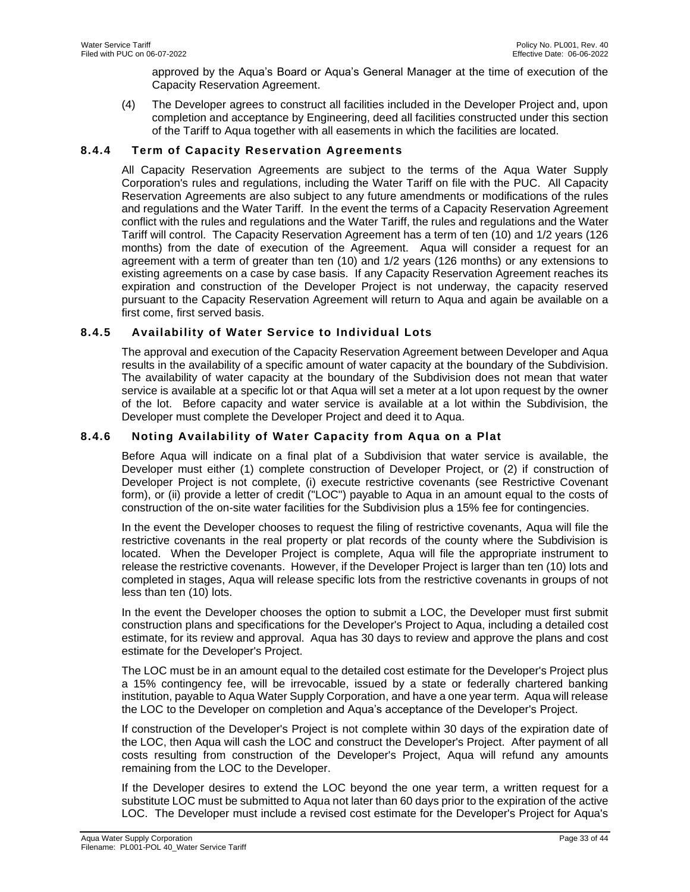approved by the Aqua's Board or Aqua's General Manager at the time of execution of the Capacity Reservation Agreement.

(4) The Developer agrees to construct all facilities included in the Developer Project and, upon completion and acceptance by Engineering, deed all facilities constructed under this section of the Tariff to Aqua together with all easements in which the facilities are located.

# <span id="page-32-0"></span>**8.4.4 Term of Capacity Reservation Agreements**

All Capacity Reservation Agreements are subject to the terms of the Aqua Water Supply Corporation's rules and regulations, including the Water Tariff on file with the PUC. All Capacity Reservation Agreements are also subject to any future amendments or modifications of the rules and regulations and the Water Tariff. In the event the terms of a Capacity Reservation Agreement conflict with the rules and regulations and the Water Tariff, the rules and regulations and the Water Tariff will control. The Capacity Reservation Agreement has a term of ten (10) and 1/2 years (126 months) from the date of execution of the Agreement. Aqua will consider a request for an agreement with a term of greater than ten (10) and 1/2 years (126 months) or any extensions to existing agreements on a case by case basis. If any Capacity Reservation Agreement reaches its expiration and construction of the Developer Project is not underway, the capacity reserved pursuant to the Capacity Reservation Agreement will return to Aqua and again be available on a first come, first served basis.

### <span id="page-32-1"></span>**8.4.5 Availability of Water Service to Individual Lots**

The approval and execution of the Capacity Reservation Agreement between Developer and Aqua results in the availability of a specific amount of water capacity at the boundary of the Subdivision. The availability of water capacity at the boundary of the Subdivision does not mean that water service is available at a specific lot or that Aqua will set a meter at a lot upon request by the owner of the lot. Before capacity and water service is available at a lot within the Subdivision, the Developer must complete the Developer Project and deed it to Aqua.

# <span id="page-32-2"></span>**8.4.6 Noting Availability of Water Capacity from Aqua on a Plat**

Before Aqua will indicate on a final plat of a Subdivision that water service is available, the Developer must either (1) complete construction of Developer Project, or (2) if construction of Developer Project is not complete, (i) execute restrictive covenants (see Restrictive Covenant form), or (ii) provide a letter of credit ("LOC") payable to Aqua in an amount equal to the costs of construction of the on-site water facilities for the Subdivision plus a 15% fee for contingencies.

In the event the Developer chooses to request the filing of restrictive covenants, Aqua will file the restrictive covenants in the real property or plat records of the county where the Subdivision is located. When the Developer Project is complete, Aqua will file the appropriate instrument to release the restrictive covenants. However, if the Developer Project is larger than ten (10) lots and completed in stages, Aqua will release specific lots from the restrictive covenants in groups of not less than ten (10) lots.

In the event the Developer chooses the option to submit a LOC, the Developer must first submit construction plans and specifications for the Developer's Project to Aqua, including a detailed cost estimate, for its review and approval. Aqua has 30 days to review and approve the plans and cost estimate for the Developer's Project.

The LOC must be in an amount equal to the detailed cost estimate for the Developer's Project plus a 15% contingency fee, will be irrevocable, issued by a state or federally chartered banking institution, payable to Aqua Water Supply Corporation, and have a one year term. Aqua will release the LOC to the Developer on completion and Aqua's acceptance of the Developer's Project.

If construction of the Developer's Project is not complete within 30 days of the expiration date of the LOC, then Aqua will cash the LOC and construct the Developer's Project. After payment of all costs resulting from construction of the Developer's Project, Aqua will refund any amounts remaining from the LOC to the Developer.

If the Developer desires to extend the LOC beyond the one year term, a written request for a substitute LOC must be submitted to Aqua not later than 60 days prior to the expiration of the active LOC. The Developer must include a revised cost estimate for the Developer's Project for Aqua's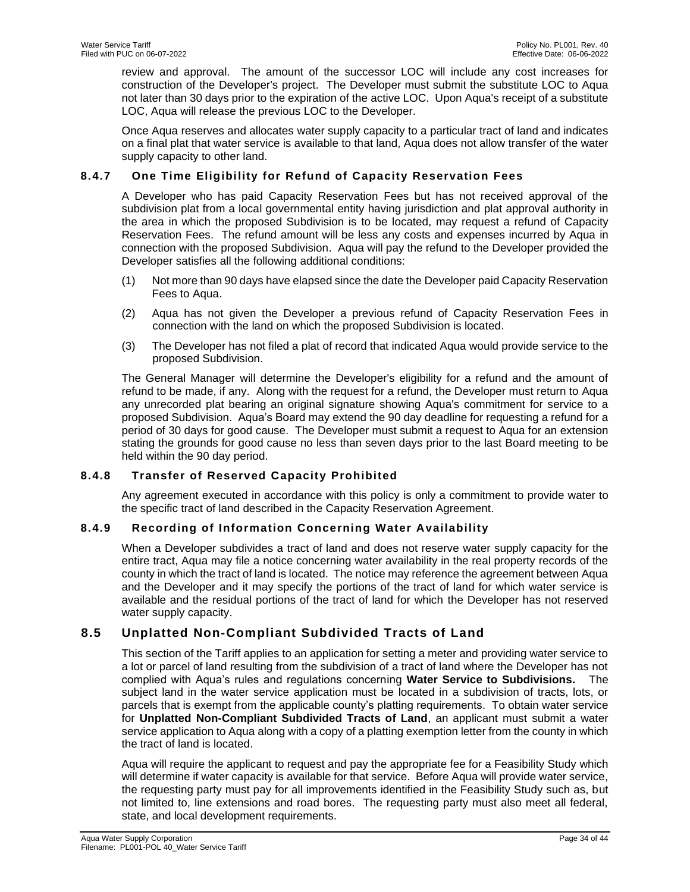review and approval. The amount of the successor LOC will include any cost increases for construction of the Developer's project. The Developer must submit the substitute LOC to Aqua not later than 30 days prior to the expiration of the active LOC. Upon Aqua's receipt of a substitute LOC, Aqua will release the previous LOC to the Developer.

Once Aqua reserves and allocates water supply capacity to a particular tract of land and indicates on a final plat that water service is available to that land, Aqua does not allow transfer of the water supply capacity to other land.

# <span id="page-33-0"></span>**8.4.7 One Time Eligibility for Refund of Capacity Reservation Fees**

A Developer who has paid Capacity Reservation Fees but has not received approval of the subdivision plat from a local governmental entity having jurisdiction and plat approval authority in the area in which the proposed Subdivision is to be located, may request a refund of Capacity Reservation Fees. The refund amount will be less any costs and expenses incurred by Aqua in connection with the proposed Subdivision. Aqua will pay the refund to the Developer provided the Developer satisfies all the following additional conditions:

- (1) Not more than 90 days have elapsed since the date the Developer paid Capacity Reservation Fees to Aqua.
- (2) Aqua has not given the Developer a previous refund of Capacity Reservation Fees in connection with the land on which the proposed Subdivision is located.
- (3) The Developer has not filed a plat of record that indicated Aqua would provide service to the proposed Subdivision.

The General Manager will determine the Developer's eligibility for a refund and the amount of refund to be made, if any. Along with the request for a refund, the Developer must return to Aqua any unrecorded plat bearing an original signature showing Aqua's commitment for service to a proposed Subdivision. Aqua's Board may extend the 90 day deadline for requesting a refund for a period of 30 days for good cause. The Developer must submit a request to Aqua for an extension stating the grounds for good cause no less than seven days prior to the last Board meeting to be held within the 90 day period.

# <span id="page-33-1"></span>**8.4.8 Transfer of Reserved Capacity Prohibited**

Any agreement executed in accordance with this policy is only a commitment to provide water to the specific tract of land described in the Capacity Reservation Agreement.

# <span id="page-33-2"></span>**8.4.9 Recording of Information Concerning Water Availability**

When a Developer subdivides a tract of land and does not reserve water supply capacity for the entire tract, Aqua may file a notice concerning water availability in the real property records of the county in which the tract of land is located. The notice may reference the agreement between Aqua and the Developer and it may specify the portions of the tract of land for which water service is available and the residual portions of the tract of land for which the Developer has not reserved water supply capacity.

# <span id="page-33-3"></span>**8.5 Unplatted Non-Compliant Subdivided Tracts of Land**

This section of the Tariff applies to an application for setting a meter and providing water service to a lot or parcel of land resulting from the subdivision of a tract of land where the Developer has not complied with Aqua's rules and regulations concerning **Water Service to Subdivisions.** The subject land in the water service application must be located in a subdivision of tracts, lots, or parcels that is exempt from the applicable county's platting requirements. To obtain water service for **Unplatted Non-Compliant Subdivided Tracts of Land**, an applicant must submit a water service application to Aqua along with a copy of a platting exemption letter from the county in which the tract of land is located.

Aqua will require the applicant to request and pay the appropriate fee for a Feasibility Study which will determine if water capacity is available for that service. Before Aqua will provide water service, the requesting party must pay for all improvements identified in the Feasibility Study such as, but not limited to, line extensions and road bores. The requesting party must also meet all federal, state, and local development requirements.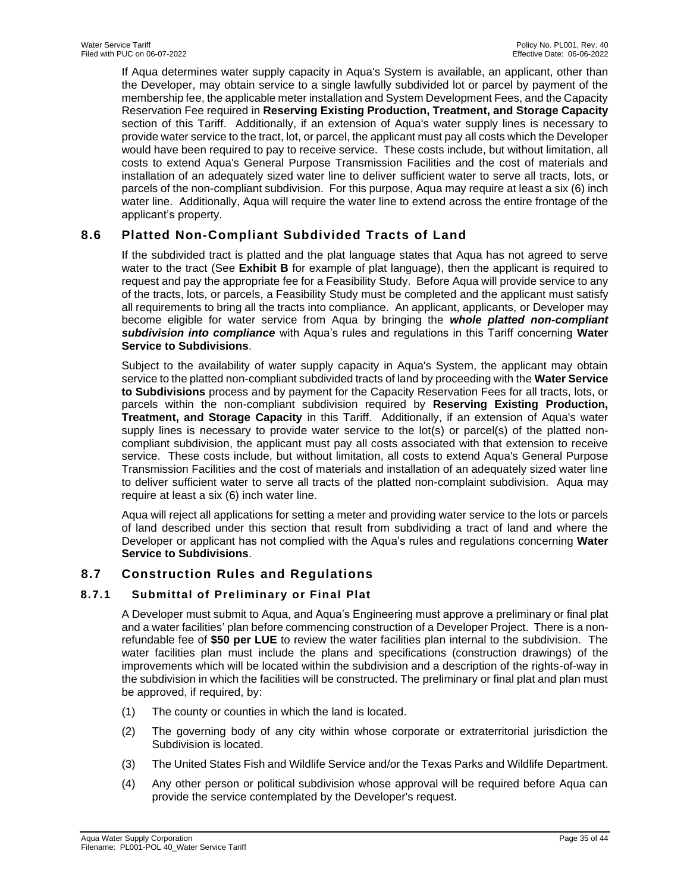If Aqua determines water supply capacity in Aqua's System is available, an applicant, other than the Developer, may obtain service to a single lawfully subdivided lot or parcel by payment of the membership fee, the applicable meter installation and System Development Fees, and the Capacity Reservation Fee required in **Reserving Existing Production, Treatment, and Storage Capacity** section of this Tariff. Additionally, if an extension of Aqua's water supply lines is necessary to provide water service to the tract, lot, or parcel, the applicant must pay all costs which the Developer would have been required to pay to receive service. These costs include, but without limitation, all costs to extend Aqua's General Purpose Transmission Facilities and the cost of materials and installation of an adequately sized water line to deliver sufficient water to serve all tracts, lots, or parcels of the non-compliant subdivision. For this purpose, Aqua may require at least a six (6) inch water line. Additionally, Aqua will require the water line to extend across the entire frontage of the applicant's property.

# <span id="page-34-0"></span>**8.6 Platted Non-Compliant Subdivided Tracts of Land**

If the subdivided tract is platted and the plat language states that Aqua has not agreed to serve water to the tract (See **Exhibit B** for example of plat language), then the applicant is required to request and pay the appropriate fee for a Feasibility Study. Before Aqua will provide service to any of the tracts, lots, or parcels, a Feasibility Study must be completed and the applicant must satisfy all requirements to bring all the tracts into compliance. An applicant, applicants, or Developer may become eligible for water service from Aqua by bringing the *whole platted non-compliant subdivision into compliance* with Aqua's rules and regulations in this Tariff concerning **Water Service to Subdivisions**.

Subject to the availability of water supply capacity in Aqua's System, the applicant may obtain service to the platted non-compliant subdivided tracts of land by proceeding with the **Water Service to Subdivisions** process and by payment for the Capacity Reservation Fees for all tracts, lots, or parcels within the non-compliant subdivision required by **Reserving Existing Production, Treatment, and Storage Capacity** in this Tariff. Additionally, if an extension of Aqua's water supply lines is necessary to provide water service to the lot(s) or parcel(s) of the platted noncompliant subdivision, the applicant must pay all costs associated with that extension to receive service. These costs include, but without limitation, all costs to extend Aqua's General Purpose Transmission Facilities and the cost of materials and installation of an adequately sized water line to deliver sufficient water to serve all tracts of the platted non-complaint subdivision. Aqua may require at least a six (6) inch water line.

Aqua will reject all applications for setting a meter and providing water service to the lots or parcels of land described under this section that result from subdividing a tract of land and where the Developer or applicant has not complied with the Aqua's rules and regulations concerning **Water Service to Subdivisions**.

# <span id="page-34-1"></span>**8.7 Construction Rules and Regulations**

# <span id="page-34-2"></span>**8.7.1 Submittal of Preliminary or Final Plat**

A Developer must submit to Aqua, and Aqua's Engineering must approve a preliminary or final plat and a water facilities' plan before commencing construction of a Developer Project. There is a nonrefundable fee of **\$50 per LUE** to review the water facilities plan internal to the subdivision. The water facilities plan must include the plans and specifications (construction drawings) of the improvements which will be located within the subdivision and a description of the rights-of-way in the subdivision in which the facilities will be constructed. The preliminary or final plat and plan must be approved, if required, by:

- (1) The county or counties in which the land is located.
- (2) The governing body of any city within whose corporate or extraterritorial jurisdiction the Subdivision is located.
- (3) The United States Fish and Wildlife Service and/or the Texas Parks and Wildlife Department.
- (4) Any other person or political subdivision whose approval will be required before Aqua can provide the service contemplated by the Developer's request.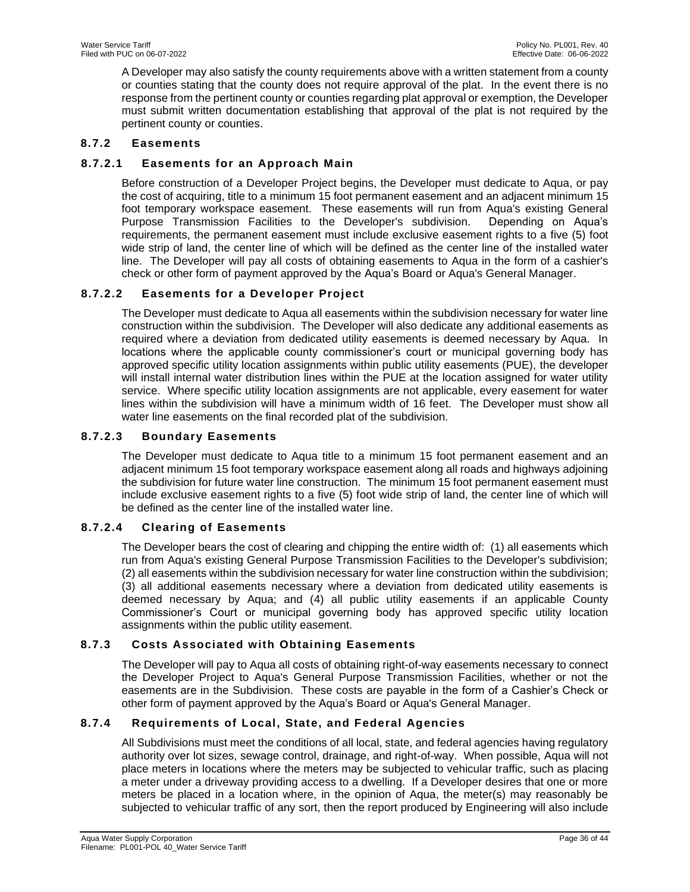A Developer may also satisfy the county requirements above with a written statement from a county or counties stating that the county does not require approval of the plat. In the event there is no response from the pertinent county or counties regarding plat approval or exemption, the Developer must submit written documentation establishing that approval of the plat is not required by the pertinent county or counties.

# <span id="page-35-0"></span>**8.7.2 Easements**

# **8.7.2.1 Easements for an Approach Main**

Before construction of a Developer Project begins, the Developer must dedicate to Aqua, or pay the cost of acquiring, title to a minimum 15 foot permanent easement and an adjacent minimum 15 foot temporary workspace easement. These easements will run from Aqua's existing General Purpose Transmission Facilities to the Developer's subdivision. Depending on Aqua's requirements, the permanent easement must include exclusive easement rights to a five (5) foot wide strip of land, the center line of which will be defined as the center line of the installed water line. The Developer will pay all costs of obtaining easements to Aqua in the form of a cashier's check or other form of payment approved by the Aqua's Board or Aqua's General Manager.

# **8.7.2.2 Easements for a Developer Project**

The Developer must dedicate to Aqua all easements within the subdivision necessary for water line construction within the subdivision. The Developer will also dedicate any additional easements as required where a deviation from dedicated utility easements is deemed necessary by Aqua. In locations where the applicable county commissioner's court or municipal governing body has approved specific utility location assignments within public utility easements (PUE), the developer will install internal water distribution lines within the PUE at the location assigned for water utility service. Where specific utility location assignments are not applicable, every easement for water lines within the subdivision will have a minimum width of 16 feet. The Developer must show all water line easements on the final recorded plat of the subdivision.

### **8.7.2.3 Boundary Easements**

The Developer must dedicate to Aqua title to a minimum 15 foot permanent easement and an adjacent minimum 15 foot temporary workspace easement along all roads and highways adjoining the subdivision for future water line construction. The minimum 15 foot permanent easement must include exclusive easement rights to a five (5) foot wide strip of land, the center line of which will be defined as the center line of the installed water line.

# **8.7.2.4 Clearing of Easements**

The Developer bears the cost of clearing and chipping the entire width of: (1) all easements which run from Aqua's existing General Purpose Transmission Facilities to the Developer's subdivision; (2) all easements within the subdivision necessary for water line construction within the subdivision; (3) all additional easements necessary where a deviation from dedicated utility easements is deemed necessary by Aqua; and (4) all public utility easements if an applicable County Commissioner's Court or municipal governing body has approved specific utility location assignments within the public utility easement.

# <span id="page-35-1"></span>**8.7.3 Costs Associated with Obtaining Easements**

The Developer will pay to Aqua all costs of obtaining right-of-way easements necessary to connect the Developer Project to Aqua's General Purpose Transmission Facilities, whether or not the easements are in the Subdivision. These costs are payable in the form of a Cashier's Check or other form of payment approved by the Aqua's Board or Aqua's General Manager.

#### <span id="page-35-2"></span>**8.7.4 Requirements of Local, State, and Federal Agencies**

All Subdivisions must meet the conditions of all local, state, and federal agencies having regulatory authority over lot sizes, sewage control, drainage, and right-of-way. When possible, Aqua will not place meters in locations where the meters may be subjected to vehicular traffic, such as placing a meter under a driveway providing access to a dwelling. If a Developer desires that one or more meters be placed in a location where, in the opinion of Aqua, the meter(s) may reasonably be subjected to vehicular traffic of any sort, then the report produced by Engineering will also include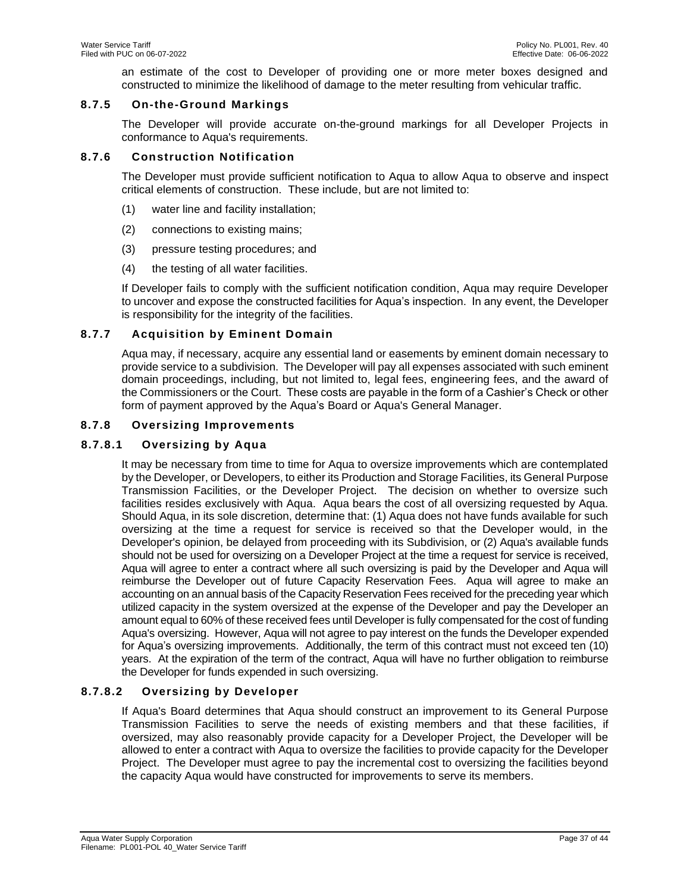an estimate of the cost to Developer of providing one or more meter boxes designed and constructed to minimize the likelihood of damage to the meter resulting from vehicular traffic.

# <span id="page-36-0"></span>**8.7.5 On-the-Ground Markings**

The Developer will provide accurate on-the-ground markings for all Developer Projects in conformance to Aqua's requirements.

### <span id="page-36-1"></span>**8.7.6 Construction Notification**

The Developer must provide sufficient notification to Aqua to allow Aqua to observe and inspect critical elements of construction. These include, but are not limited to:

- (1) water line and facility installation;
- (2) connections to existing mains;
- (3) pressure testing procedures; and
- (4) the testing of all water facilities.

If Developer fails to comply with the sufficient notification condition, Aqua may require Developer to uncover and expose the constructed facilities for Aqua's inspection. In any event, the Developer is responsibility for the integrity of the facilities.

# <span id="page-36-2"></span>**8.7.7 Acquisition by Eminent Domain**

Aqua may, if necessary, acquire any essential land or easements by eminent domain necessary to provide service to a subdivision. The Developer will pay all expenses associated with such eminent domain proceedings, including, but not limited to, legal fees, engineering fees, and the award of the Commissioners or the Court. These costs are payable in the form of a Cashier's Check or other form of payment approved by the Aqua's Board or Aqua's General Manager.

# <span id="page-36-3"></span>**8.7.8 Oversizing Improvements**

# **8.7.8.1 Oversizing by Aqua**

It may be necessary from time to time for Aqua to oversize improvements which are contemplated by the Developer, or Developers, to either its Production and Storage Facilities, its General Purpose Transmission Facilities, or the Developer Project. The decision on whether to oversize such facilities resides exclusively with Aqua. Aqua bears the cost of all oversizing requested by Aqua. Should Aqua, in its sole discretion, determine that: (1) Aqua does not have funds available for such oversizing at the time a request for service is received so that the Developer would, in the Developer's opinion, be delayed from proceeding with its Subdivision, or (2) Aqua's available funds should not be used for oversizing on a Developer Project at the time a request for service is received, Aqua will agree to enter a contract where all such oversizing is paid by the Developer and Aqua will reimburse the Developer out of future Capacity Reservation Fees. Aqua will agree to make an accounting on an annual basis of the Capacity Reservation Fees received for the preceding year which utilized capacity in the system oversized at the expense of the Developer and pay the Developer an amount equal to 60% of these received fees until Developer is fully compensated for the cost of funding Aqua's oversizing. However, Aqua will not agree to pay interest on the funds the Developer expended for Aqua's oversizing improvements. Additionally, the term of this contract must not exceed ten (10) years. At the expiration of the term of the contract, Aqua will have no further obligation to reimburse the Developer for funds expended in such oversizing.

# **8.7.8.2 Oversizing by Developer**

If Aqua's Board determines that Aqua should construct an improvement to its General Purpose Transmission Facilities to serve the needs of existing members and that these facilities, if oversized, may also reasonably provide capacity for a Developer Project, the Developer will be allowed to enter a contract with Aqua to oversize the facilities to provide capacity for the Developer Project. The Developer must agree to pay the incremental cost to oversizing the facilities beyond the capacity Aqua would have constructed for improvements to serve its members.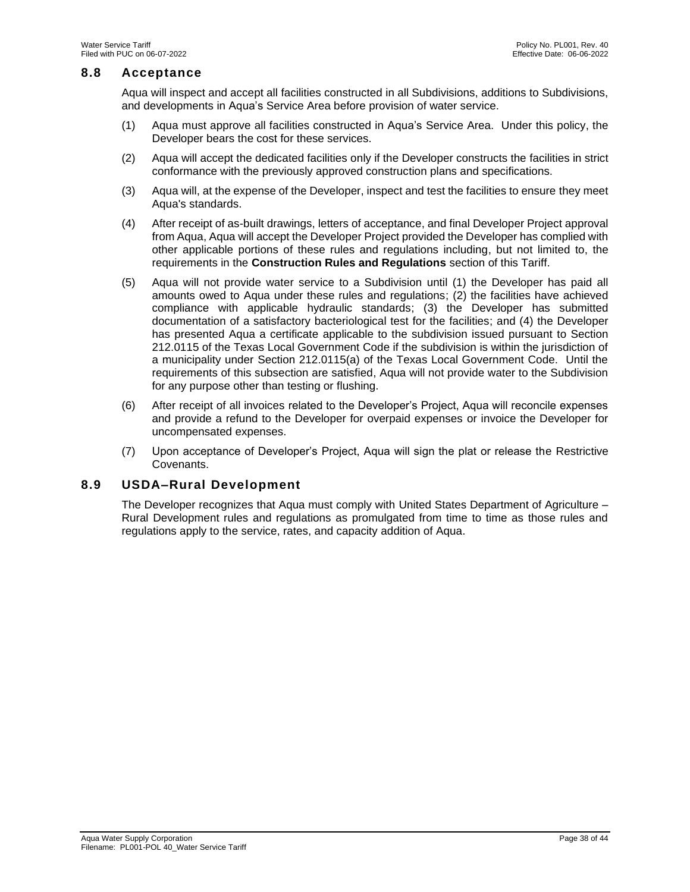### <span id="page-37-0"></span>**8.8 Acceptance**

Aqua will inspect and accept all facilities constructed in all Subdivisions, additions to Subdivisions, and developments in Aqua's Service Area before provision of water service.

- (1) Aqua must approve all facilities constructed in Aqua's Service Area. Under this policy, the Developer bears the cost for these services.
- (2) Aqua will accept the dedicated facilities only if the Developer constructs the facilities in strict conformance with the previously approved construction plans and specifications.
- (3) Aqua will, at the expense of the Developer, inspect and test the facilities to ensure they meet Aqua's standards.
- (4) After receipt of as-built drawings, letters of acceptance, and final Developer Project approval from Aqua, Aqua will accept the Developer Project provided the Developer has complied with other applicable portions of these rules and regulations including, but not limited to, the requirements in the **Construction Rules and Regulations** section of this Tariff.
- (5) Aqua will not provide water service to a Subdivision until (1) the Developer has paid all amounts owed to Aqua under these rules and regulations; (2) the facilities have achieved compliance with applicable hydraulic standards; (3) the Developer has submitted documentation of a satisfactory bacteriological test for the facilities; and (4) the Developer has presented Aqua a certificate applicable to the subdivision issued pursuant to Section 212.0115 of the Texas Local Government Code if the subdivision is within the jurisdiction of a municipality under Section 212.0115(a) of the Texas Local Government Code. Until the requirements of this subsection are satisfied, Aqua will not provide water to the Subdivision for any purpose other than testing or flushing.
- (6) After receipt of all invoices related to the Developer's Project, Aqua will reconcile expenses and provide a refund to the Developer for overpaid expenses or invoice the Developer for uncompensated expenses.
- (7) Upon acceptance of Developer's Project, Aqua will sign the plat or release the Restrictive Covenants.

# <span id="page-37-1"></span>**8.9 USDA–Rural Development**

The Developer recognizes that Aqua must comply with United States Department of Agriculture – Rural Development rules and regulations as promulgated from time to time as those rules and regulations apply to the service, rates, and capacity addition of Aqua.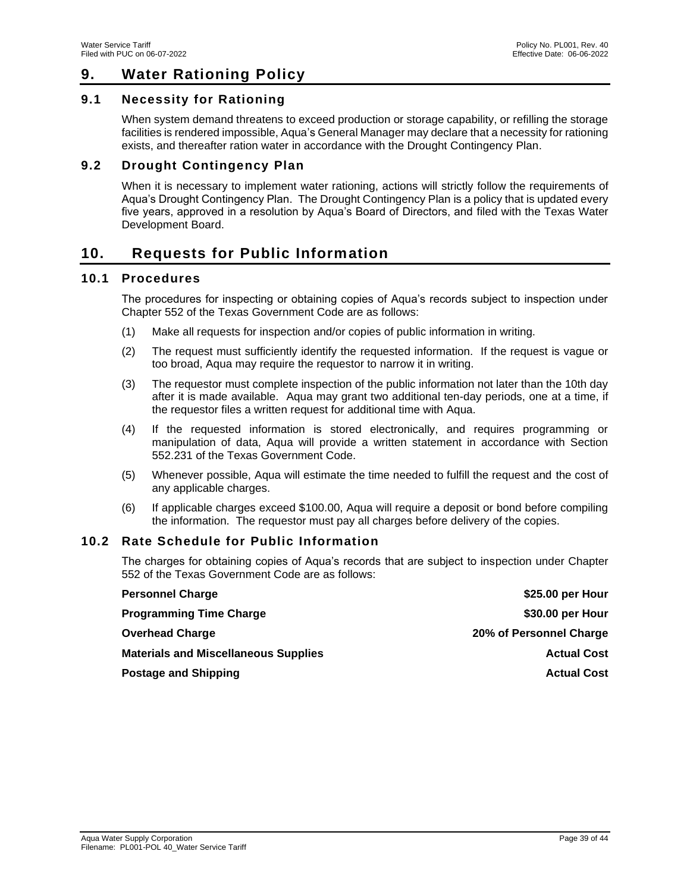# <span id="page-38-0"></span>**9. Water Rationing Policy**

# <span id="page-38-1"></span>**9.1 Necessity for Rationing**

When system demand threatens to exceed production or storage capability, or refilling the storage facilities is rendered impossible, Aqua's General Manager may declare that a necessity for rationing exists, and thereafter ration water in accordance with the Drought Contingency Plan.

# <span id="page-38-2"></span>**9.2 Drought Contingency Plan**

When it is necessary to implement water rationing, actions will strictly follow the requirements of Aqua's Drought Contingency Plan. The Drought Contingency Plan is a policy that is updated every five years, approved in a resolution by Aqua's Board of Directors, and filed with the Texas Water Development Board.

# <span id="page-38-3"></span>**10. Requests for Public Information**

# <span id="page-38-4"></span>**10.1 Procedures**

The procedures for inspecting or obtaining copies of Aqua's records subject to inspection under Chapter 552 of the Texas Government Code are as follows:

- (1) Make all requests for inspection and/or copies of public information in writing.
- (2) The request must sufficiently identify the requested information. If the request is vague or too broad, Aqua may require the requestor to narrow it in writing.
- (3) The requestor must complete inspection of the public information not later than the 10th day after it is made available. Aqua may grant two additional ten-day periods, one at a time, if the requestor files a written request for additional time with Aqua.
- (4) If the requested information is stored electronically, and requires programming or manipulation of data, Aqua will provide a written statement in accordance with Section 552.231 of the Texas Government Code.
- (5) Whenever possible, Aqua will estimate the time needed to fulfill the request and the cost of any applicable charges.
- (6) If applicable charges exceed \$100.00, Aqua will require a deposit or bond before compiling the information. The requestor must pay all charges before delivery of the copies.

# <span id="page-38-5"></span>**10.2 Rate Schedule for Public Information**

The charges for obtaining copies of Aqua's records that are subject to inspection under Chapter 552 of the Texas Government Code are as follows:

| <b>Personnel Charge</b>                     | \$25.00 per Hour        |
|---------------------------------------------|-------------------------|
| <b>Programming Time Charge</b>              | \$30.00 per Hour        |
| <b>Overhead Charge</b>                      | 20% of Personnel Charge |
| <b>Materials and Miscellaneous Supplies</b> | <b>Actual Cost</b>      |
| <b>Postage and Shipping</b>                 | <b>Actual Cost</b>      |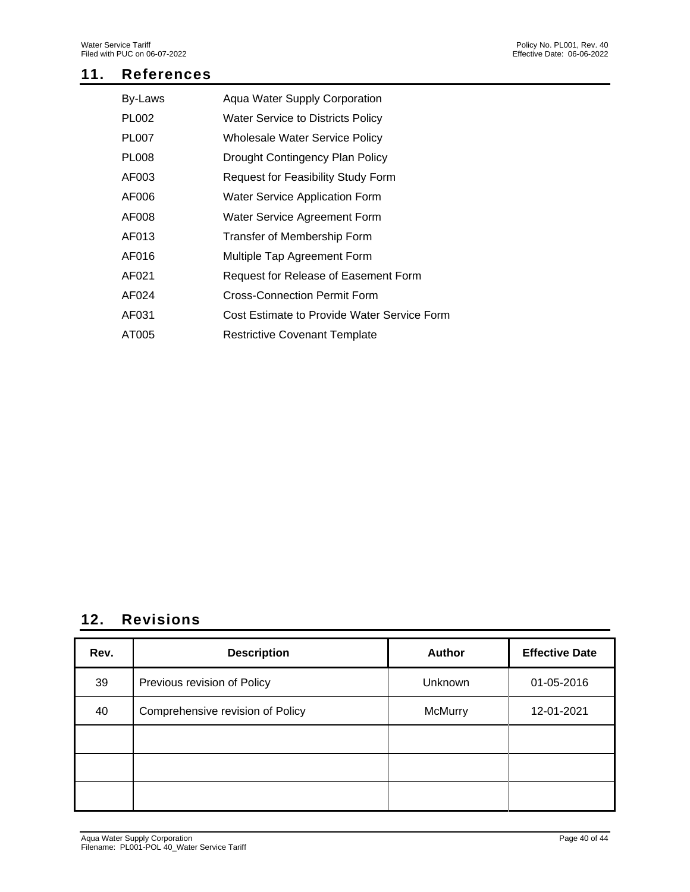# <span id="page-39-0"></span>**11. References**

| By-Laws      | Aqua Water Supply Corporation               |
|--------------|---------------------------------------------|
| <b>PL002</b> | <b>Water Service to Districts Policy</b>    |
| <b>PL007</b> | <b>Wholesale Water Service Policy</b>       |
| <b>PL008</b> | Drought Contingency Plan Policy             |
| AF003        | Request for Feasibility Study Form          |
| AF006        | <b>Water Service Application Form</b>       |
| AF008        | Water Service Agreement Form                |
| AF013        | Transfer of Membership Form                 |
| AF016        | Multiple Tap Agreement Form                 |
| AF021        | Request for Release of Easement Form        |
| AF024        | <b>Cross-Connection Permit Form</b>         |
| AF031        | Cost Estimate to Provide Water Service Form |
| AT005        | <b>Restrictive Covenant Template</b>        |

# <span id="page-39-1"></span>**12. Revisions**

| Rev. | <b>Description</b>               | <b>Author</b>  | <b>Effective Date</b> |
|------|----------------------------------|----------------|-----------------------|
| 39   | Previous revision of Policy      | Unknown        | 01-05-2016            |
| 40   | Comprehensive revision of Policy | <b>McMurry</b> | 12-01-2021            |
|      |                                  |                |                       |
|      |                                  |                |                       |
|      |                                  |                |                       |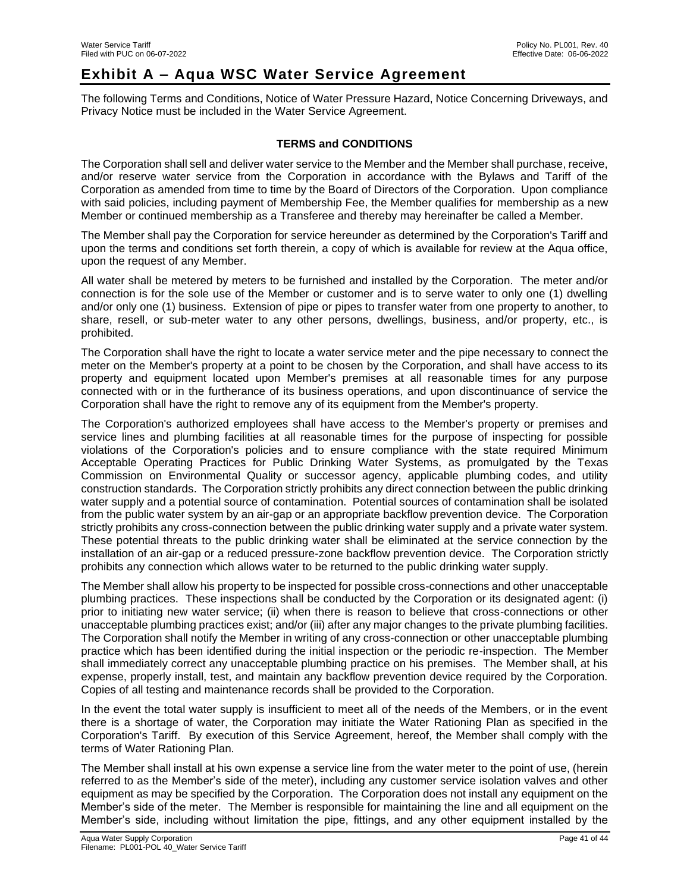# <span id="page-40-0"></span>**Exhibit A – Aqua WSC Water Service Agreement**

The following Terms and Conditions, Notice of Water Pressure Hazard, Notice Concerning Driveways, and Privacy Notice must be included in the Water Service Agreement.

### **TERMS and CONDITIONS**

The Corporation shall sell and deliver water service to the Member and the Member shall purchase, receive, and/or reserve water service from the Corporation in accordance with the Bylaws and Tariff of the Corporation as amended from time to time by the Board of Directors of the Corporation. Upon compliance with said policies, including payment of Membership Fee, the Member qualifies for membership as a new Member or continued membership as a Transferee and thereby may hereinafter be called a Member.

The Member shall pay the Corporation for service hereunder as determined by the Corporation's Tariff and upon the terms and conditions set forth therein, a copy of which is available for review at the Aqua office, upon the request of any Member.

All water shall be metered by meters to be furnished and installed by the Corporation. The meter and/or connection is for the sole use of the Member or customer and is to serve water to only one (1) dwelling and/or only one (1) business. Extension of pipe or pipes to transfer water from one property to another, to share, resell, or sub-meter water to any other persons, dwellings, business, and/or property, etc., is prohibited.

The Corporation shall have the right to locate a water service meter and the pipe necessary to connect the meter on the Member's property at a point to be chosen by the Corporation, and shall have access to its property and equipment located upon Member's premises at all reasonable times for any purpose connected with or in the furtherance of its business operations, and upon discontinuance of service the Corporation shall have the right to remove any of its equipment from the Member's property.

The Corporation's authorized employees shall have access to the Member's property or premises and service lines and plumbing facilities at all reasonable times for the purpose of inspecting for possible violations of the Corporation's policies and to ensure compliance with the state required Minimum Acceptable Operating Practices for Public Drinking Water Systems, as promulgated by the Texas Commission on Environmental Quality or successor agency, applicable plumbing codes, and utility construction standards. The Corporation strictly prohibits any direct connection between the public drinking water supply and a potential source of contamination. Potential sources of contamination shall be isolated from the public water system by an air-gap or an appropriate backflow prevention device. The Corporation strictly prohibits any cross-connection between the public drinking water supply and a private water system. These potential threats to the public drinking water shall be eliminated at the service connection by the installation of an air-gap or a reduced pressure-zone backflow prevention device. The Corporation strictly prohibits any connection which allows water to be returned to the public drinking water supply.

The Member shall allow his property to be inspected for possible cross-connections and other unacceptable plumbing practices. These inspections shall be conducted by the Corporation or its designated agent: (i) prior to initiating new water service; (ii) when there is reason to believe that cross-connections or other unacceptable plumbing practices exist; and/or (iii) after any major changes to the private plumbing facilities. The Corporation shall notify the Member in writing of any cross-connection or other unacceptable plumbing practice which has been identified during the initial inspection or the periodic re-inspection. The Member shall immediately correct any unacceptable plumbing practice on his premises. The Member shall, at his expense, properly install, test, and maintain any backflow prevention device required by the Corporation. Copies of all testing and maintenance records shall be provided to the Corporation.

In the event the total water supply is insufficient to meet all of the needs of the Members, or in the event there is a shortage of water, the Corporation may initiate the Water Rationing Plan as specified in the Corporation's Tariff. By execution of this Service Agreement, hereof, the Member shall comply with the terms of Water Rationing Plan.

The Member shall install at his own expense a service line from the water meter to the point of use, (herein referred to as the Member's side of the meter), including any customer service isolation valves and other equipment as may be specified by the Corporation. The Corporation does not install any equipment on the Member's side of the meter. The Member is responsible for maintaining the line and all equipment on the Member's side, including without limitation the pipe, fittings, and any other equipment installed by the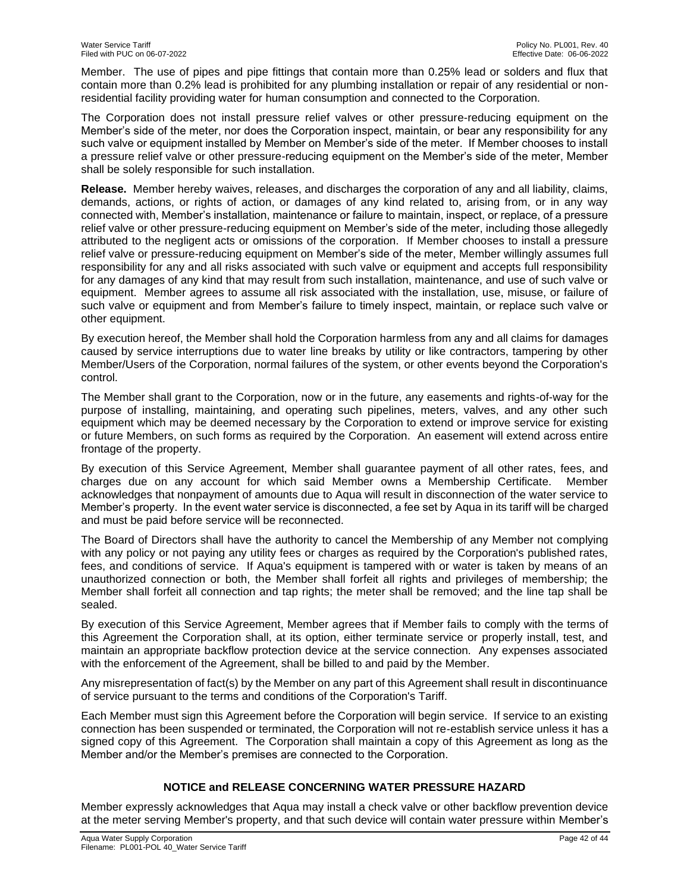Member. The use of pipes and pipe fittings that contain more than 0.25% lead or solders and flux that contain more than 0.2% lead is prohibited for any plumbing installation or repair of any residential or nonresidential facility providing water for human consumption and connected to the Corporation.

The Corporation does not install pressure relief valves or other pressure-reducing equipment on the Member's side of the meter, nor does the Corporation inspect, maintain, or bear any responsibility for any such valve or equipment installed by Member on Member's side of the meter. If Member chooses to install a pressure relief valve or other pressure-reducing equipment on the Member's side of the meter, Member shall be solely responsible for such installation.

**Release.** Member hereby waives, releases, and discharges the corporation of any and all liability, claims, demands, actions, or rights of action, or damages of any kind related to, arising from, or in any way connected with, Member's installation, maintenance or failure to maintain, inspect, or replace, of a pressure relief valve or other pressure-reducing equipment on Member's side of the meter, including those allegedly attributed to the negligent acts or omissions of the corporation. If Member chooses to install a pressure relief valve or pressure-reducing equipment on Member's side of the meter, Member willingly assumes full responsibility for any and all risks associated with such valve or equipment and accepts full responsibility for any damages of any kind that may result from such installation, maintenance, and use of such valve or equipment. Member agrees to assume all risk associated with the installation, use, misuse, or failure of such valve or equipment and from Member's failure to timely inspect, maintain, or replace such valve or other equipment.

By execution hereof, the Member shall hold the Corporation harmless from any and all claims for damages caused by service interruptions due to water line breaks by utility or like contractors, tampering by other Member/Users of the Corporation, normal failures of the system, or other events beyond the Corporation's control.

The Member shall grant to the Corporation, now or in the future, any easements and rights-of-way for the purpose of installing, maintaining, and operating such pipelines, meters, valves, and any other such equipment which may be deemed necessary by the Corporation to extend or improve service for existing or future Members, on such forms as required by the Corporation. An easement will extend across entire frontage of the property.

By execution of this Service Agreement, Member shall guarantee payment of all other rates, fees, and charges due on any account for which said Member owns a Membership Certificate. Member acknowledges that nonpayment of amounts due to Aqua will result in disconnection of the water service to Member's property. In the event water service is disconnected, a fee set by Aqua in its tariff will be charged and must be paid before service will be reconnected.

The Board of Directors shall have the authority to cancel the Membership of any Member not complying with any policy or not paying any utility fees or charges as required by the Corporation's published rates, fees, and conditions of service. If Aqua's equipment is tampered with or water is taken by means of an unauthorized connection or both, the Member shall forfeit all rights and privileges of membership; the Member shall forfeit all connection and tap rights; the meter shall be removed; and the line tap shall be sealed.

By execution of this Service Agreement, Member agrees that if Member fails to comply with the terms of this Agreement the Corporation shall, at its option, either terminate service or properly install, test, and maintain an appropriate backflow protection device at the service connection. Any expenses associated with the enforcement of the Agreement, shall be billed to and paid by the Member.

Any misrepresentation of fact(s) by the Member on any part of this Agreement shall result in discontinuance of service pursuant to the terms and conditions of the Corporation's Tariff.

Each Member must sign this Agreement before the Corporation will begin service. If service to an existing connection has been suspended or terminated, the Corporation will not re-establish service unless it has a signed copy of this Agreement. The Corporation shall maintain a copy of this Agreement as long as the Member and/or the Member's premises are connected to the Corporation.

# **NOTICE and RELEASE CONCERNING WATER PRESSURE HAZARD**

Member expressly acknowledges that Aqua may install a check valve or other backflow prevention device at the meter serving Member's property, and that such device will contain water pressure within Member's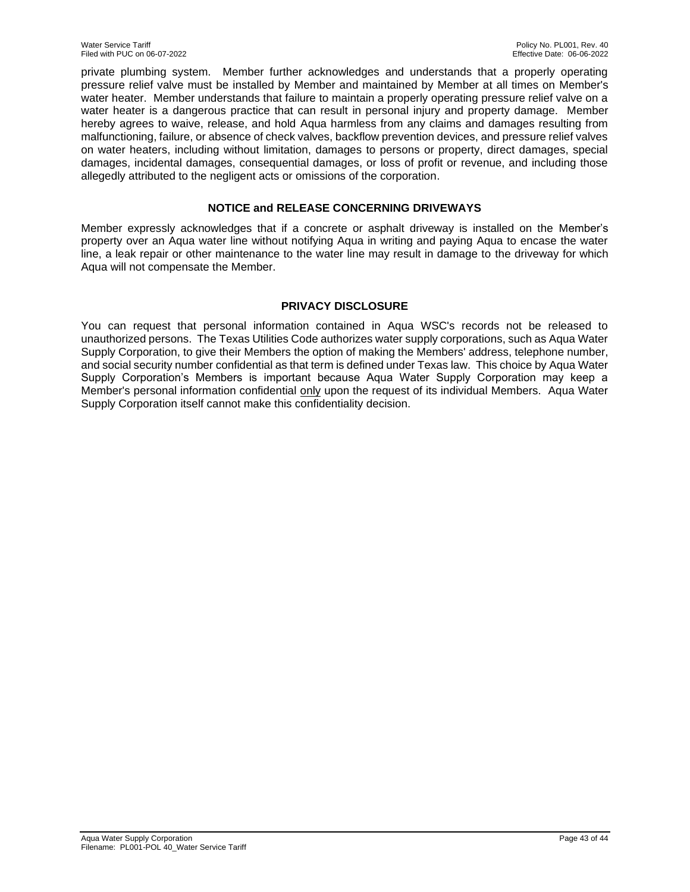private plumbing system. Member further acknowledges and understands that a properly operating pressure relief valve must be installed by Member and maintained by Member at all times on Member's water heater. Member understands that failure to maintain a properly operating pressure relief valve on a water heater is a dangerous practice that can result in personal injury and property damage. Member hereby agrees to waive, release, and hold Aqua harmless from any claims and damages resulting from malfunctioning, failure, or absence of check valves, backflow prevention devices, and pressure relief valves on water heaters, including without limitation, damages to persons or property, direct damages, special damages, incidental damages, consequential damages, or loss of profit or revenue, and including those allegedly attributed to the negligent acts or omissions of the corporation.

# **NOTICE and RELEASE CONCERNING DRIVEWAYS**

Member expressly acknowledges that if a concrete or asphalt driveway is installed on the Member's property over an Aqua water line without notifying Aqua in writing and paying Aqua to encase the water line, a leak repair or other maintenance to the water line may result in damage to the driveway for which Aqua will not compensate the Member.

### **PRIVACY DISCLOSURE**

You can request that personal information contained in Aqua WSC's records not be released to unauthorized persons. The Texas Utilities Code authorizes water supply corporations, such as Aqua Water Supply Corporation, to give their Members the option of making the Members' address, telephone number, and social security number confidential as that term is defined under Texas law. This choice by Aqua Water Supply Corporation's Members is important because Aqua Water Supply Corporation may keep a Member's personal information confidential only upon the request of its individual Members. Aqua Water Supply Corporation itself cannot make this confidentiality decision.